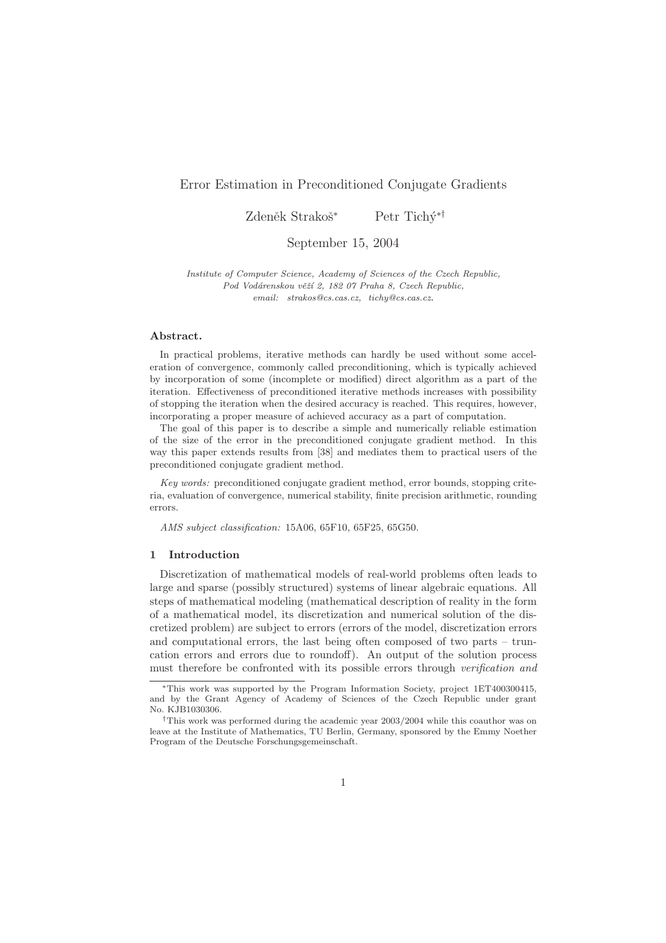# Error Estimation in Preconditioned Conjugate Gradients

Zdeněk Strakoš<sup>∗</sup> Petr Tichý<sup>∗†</sup>

September 15, 2004

Institute of Computer Science, Academy of Sciences of the Czech Republic, Pod Vodárenskou věží 2, 182 07 Praha 8, Czech Republic, email: strakos@cs.cas.cz, tichy@cs.cas.cz.

## Abstract.

In practical problems, iterative methods can hardly be used without some acceleration of convergence, commonly called preconditioning, which is typically achieved by incorporation of some (incomplete or modified) direct algorithm as a part of the iteration. Effectiveness of preconditioned iterative methods increases with possibility of stopping the iteration when the desired accuracy is reached. This requires, however, incorporating a proper measure of achieved accuracy as a part of computation.

The goal of this paper is to describe a simple and numerically reliable estimation of the size of the error in the preconditioned conjugate gradient method. In this way this paper extends results from [38] and mediates them to practical users of the preconditioned conjugate gradient method.

Key words: preconditioned conjugate gradient method, error bounds, stopping criteria, evaluation of convergence, numerical stability, finite precision arithmetic, rounding errors.

AMS subject classification: 15A06, 65F10, 65F25, 65G50.

#### 1 Introduction

Discretization of mathematical models of real-world problems often leads to large and sparse (possibly structured) systems of linear algebraic equations. All steps of mathematical modeling (mathematical description of reality in the form of a mathematical model, its discretization and numerical solution of the discretized problem) are subject to errors (errors of the model, discretization errors and computational errors, the last being often composed of two parts – truncation errors and errors due to roundoff). An output of the solution process must therefore be confronted with its possible errors through verification and

<sup>∗</sup>This work was supported by the Program Information Society, project 1ET400300415, and by the Grant Agency of Academy of Sciences of the Czech Republic under grant No. KJB1030306.

<sup>†</sup>This work was performed during the academic year 2003/2004 while this coauthor was on leave at the Institute of Mathematics, TU Berlin, Germany, sponsored by the Emmy Noether Program of the Deutsche Forschungsgemeinschaft.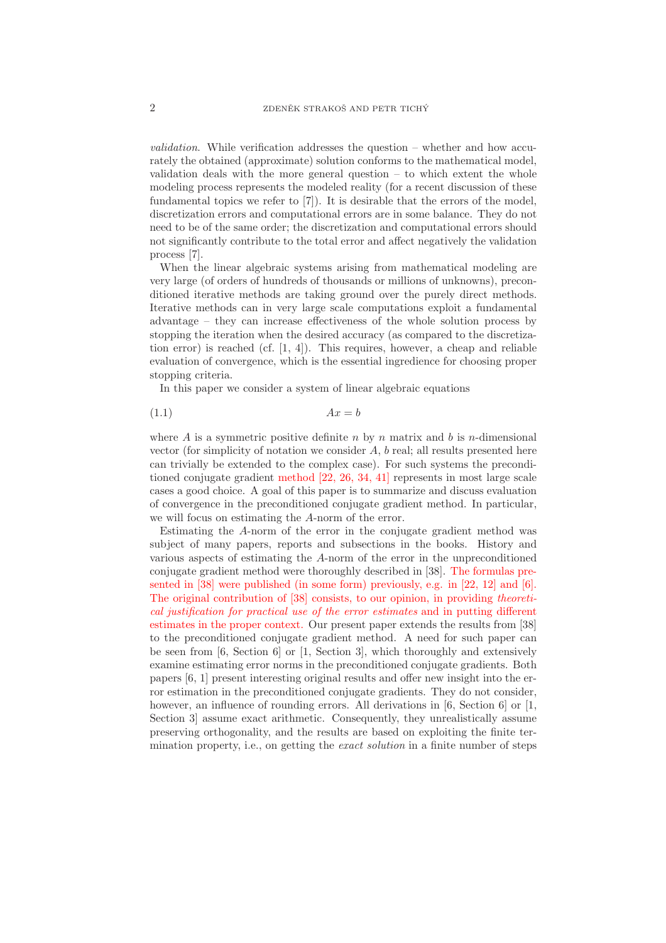validation. While verification addresses the question – whether and how accurately the obtained (approximate) solution conforms to the mathematical model, validation deals with the more general question  $-$  to which extent the whole modeling process represents the modeled reality (for a recent discussion of these fundamental topics we refer to [7]). It is desirable that the errors of the model, discretization errors and computational errors are in some balance. They do not need to be of the same order; the discretization and computational errors should not significantly contribute to the total error and affect negatively the validation process [7].

When the linear algebraic systems arising from mathematical modeling are very large (of orders of hundreds of thousands or millions of unknowns), preconditioned iterative methods are taking ground over the purely direct methods. Iterative methods can in very large scale computations exploit a fundamental advantage – they can increase effectiveness of the whole solution process by stopping the iteration when the desired accuracy (as compared to the discretization error) is reached (cf. [1, 4]). This requires, however, a cheap and reliable evaluation of convergence, which is the essential ingredience for choosing proper stopping criteria.

In this paper we consider a system of linear algebraic equations

$$
(1.1)\t\t\t Ax = b
$$

where A is a symmetric positive definite n by n matrix and b is n-dimensional vector (for simplicity of notation we consider A, b real; all results presented here can trivially be extended to the complex case). For such systems the preconditioned conjugate gradient method [22, 26, 34, 41] represents in most large scale cases a good choice. A goal of this paper is to summarize and discuss evaluation of convergence in the preconditioned conjugate gradient method. In particular, we will focus on estimating the A-norm of the error.

Estimating the A-norm of the error in the conjugate gradient method was subject of many papers, reports and subsections in the books. History and various aspects of estimating the A-norm of the error in the unpreconditioned conjugate gradient method were thoroughly described in [38]. The formulas presented in [38] were published (in some form) previously, e.g. in [22, 12] and [6]. The original contribution of [38] consists, to our opinion, in providing theoretical justification for practical use of the error estimates and in putting different estimates in the proper context. Our present paper extends the results from [38] to the preconditioned conjugate gradient method. A need for such paper can be seen from [6, Section 6] or [1, Section 3], which thoroughly and extensively examine estimating error norms in the preconditioned conjugate gradients. Both papers [6, 1] present interesting original results and offer new insight into the error estimation in the preconditioned conjugate gradients. They do not consider, however, an influence of rounding errors. All derivations in [6, Section 6] or [1, Section 3] assume exact arithmetic. Consequently, they unrealistically assume preserving orthogonality, and the results are based on exploiting the finite termination property, i.e., on getting the exact solution in a finite number of steps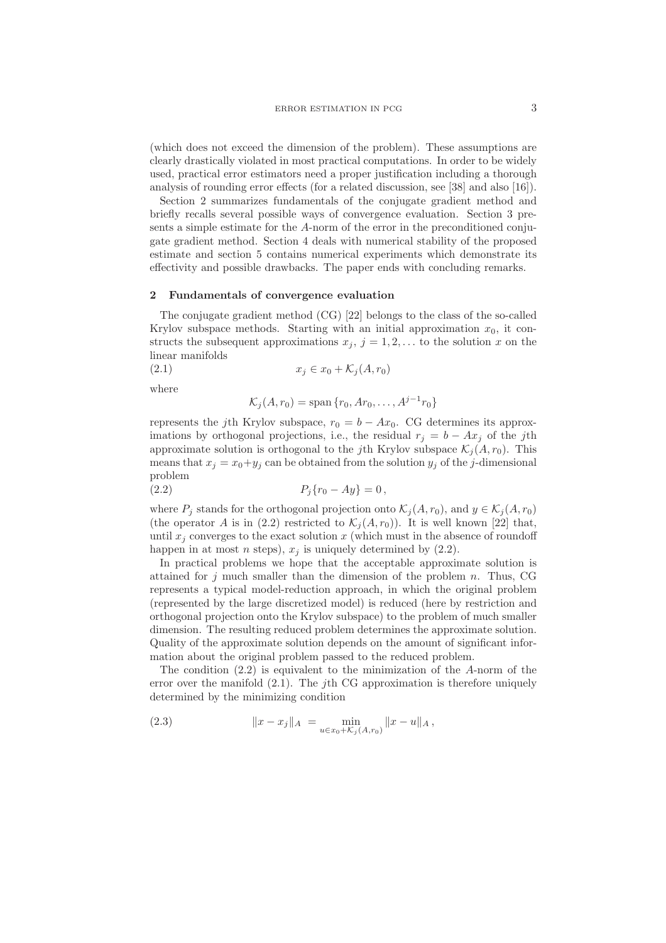(which does not exceed the dimension of the problem). These assumptions are clearly drastically violated in most practical computations. In order to be widely used, practical error estimators need a proper justification including a thorough analysis of rounding error effects (for a related discussion, see [38] and also [16]).

Section 2 summarizes fundamentals of the conjugate gradient method and briefly recalls several possible ways of convergence evaluation. Section 3 presents a simple estimate for the A-norm of the error in the preconditioned conjugate gradient method. Section 4 deals with numerical stability of the proposed estimate and section 5 contains numerical experiments which demonstrate its effectivity and possible drawbacks. The paper ends with concluding remarks.

#### 2 Fundamentals of convergence evaluation

The conjugate gradient method (CG) [22] belongs to the class of the so-called Krylov subspace methods. Starting with an initial approximation  $x_0$ , it constructs the subsequent approximations  $x_j$ ,  $j = 1, 2, \ldots$  to the solution x on the linear manifolds

$$
(2.1) \t\t x_j \in x_0 + \mathcal{K}_j(A, r_0)
$$

where

$$
\mathcal{K}_j(A, r_0) = \text{span}\{r_0, Ar_0, \dots, A^{j-1}r_0\}
$$

represents the jth Krylov subspace,  $r_0 = b - Ax_0$ . CG determines its approximations by orthogonal projections, i.e., the residual  $r_i = b - Ax_i$  of the jth approximate solution is orthogonal to the jth Krylov subspace  $\mathcal{K}_i(A, r_0)$ . This means that  $x_i = x_0 + y_i$  can be obtained from the solution  $y_i$  of the j-dimensional problem

(2.2) 
$$
P_j\{r_0 - Ay\} = 0,
$$

where  $P_i$  stands for the orthogonal projection onto  $\mathcal{K}_i(A, r_0)$ , and  $y \in \mathcal{K}_i(A, r_0)$ (the operator A is in (2.2) restricted to  $\mathcal{K}_i(A, r_0)$ ). It is well known [22] that, until  $x_i$  converges to the exact solution x (which must in the absence of roundoff happen in at most *n* steps),  $x_j$  is uniquely determined by (2.2).

In practical problems we hope that the acceptable approximate solution is attained for  $j$  much smaller than the dimension of the problem  $n$ . Thus, CG represents a typical model-reduction approach, in which the original problem (represented by the large discretized model) is reduced (here by restriction and orthogonal projection onto the Krylov subspace) to the problem of much smaller dimension. The resulting reduced problem determines the approximate solution. Quality of the approximate solution depends on the amount of significant information about the original problem passed to the reduced problem.

The condition  $(2.2)$  is equivalent to the minimization of the A-norm of the error over the manifold  $(2.1)$ . The j<sup>th</sup> CG approximation is therefore uniquely determined by the minimizing condition

(2.3) 
$$
||x - x_j||_A = \min_{u \in x_0 + \mathcal{K}_j(A, r_0)} ||x - u||_A,
$$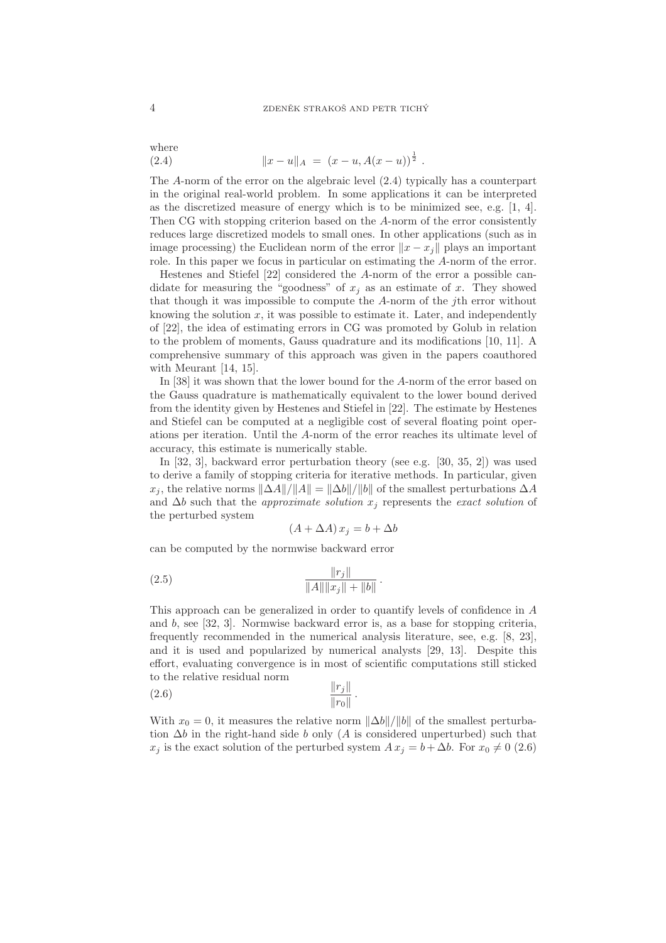where (2.4)  $\|x - u\|_A = (x - u, A(x - u))^{\frac{1}{2}}$ .

The A-norm of the error on the algebraic level (2.4) typically has a counterpart in the original real-world problem. In some applications it can be interpreted as the discretized measure of energy which is to be minimized see, e.g. [1, 4]. Then CG with stopping criterion based on the A-norm of the error consistently reduces large discretized models to small ones. In other applications (such as in image processing) the Euclidean norm of the error  $||x - x_i||$  plays an important role. In this paper we focus in particular on estimating the A-norm of the error.

Hestenes and Stiefel [22] considered the A-norm of the error a possible candidate for measuring the "goodness" of  $x_i$  as an estimate of x. They showed that though it was impossible to compute the A-norm of the jth error without knowing the solution  $x$ , it was possible to estimate it. Later, and independently of [22], the idea of estimating errors in CG was promoted by Golub in relation to the problem of moments, Gauss quadrature and its modifications [10, 11]. A comprehensive summary of this approach was given in the papers coauthored with Meurant [14, 15].

In [38] it was shown that the lower bound for the A-norm of the error based on the Gauss quadrature is mathematically equivalent to the lower bound derived from the identity given by Hestenes and Stiefel in [22]. The estimate by Hestenes and Stiefel can be computed at a negligible cost of several floating point operations per iteration. Until the A-norm of the error reaches its ultimate level of accuracy, this estimate is numerically stable.

In [32, 3], backward error perturbation theory (see e.g. [30, 35, 2]) was used to derive a family of stopping criteria for iterative methods. In particular, given  $x_i$ , the relative norms  $\|\Delta A\|/\|A\| = \|\Delta b\|/\|b\|$  of the smallest perturbations  $\Delta A$ and  $\Delta b$  such that the *approximate solution*  $x_i$  represents the *exact solution* of the perturbed system

$$
(A + \Delta A) x_j = b + \Delta b
$$

can be computed by the normwise backward error

(2.5) 
$$
\frac{\|r_j\|}{\|A\| \|x_j\| + \|b\|}.
$$

This approach can be generalized in order to quantify levels of confidence in A and b, see [32, 3]. Normwise backward error is, as a base for stopping criteria, frequently recommended in the numerical analysis literature, see, e.g. [8, 23], and it is used and popularized by numerical analysts [29, 13]. Despite this effort, evaluating convergence is in most of scientific computations still sticked to the relative residual norm

$$
\frac{\|r_j\|}{\|r_0\|}.
$$

With  $x_0 = 0$ , it measures the relative norm  $\|\Delta b\|/\|b\|$  of the smallest perturbation  $\Delta b$  in the right-hand side b only (A is considered unperturbed) such that  $x_j$  is the exact solution of the perturbed system  $A x_j = b + \Delta b$ . For  $x_0 \neq 0$  (2.6)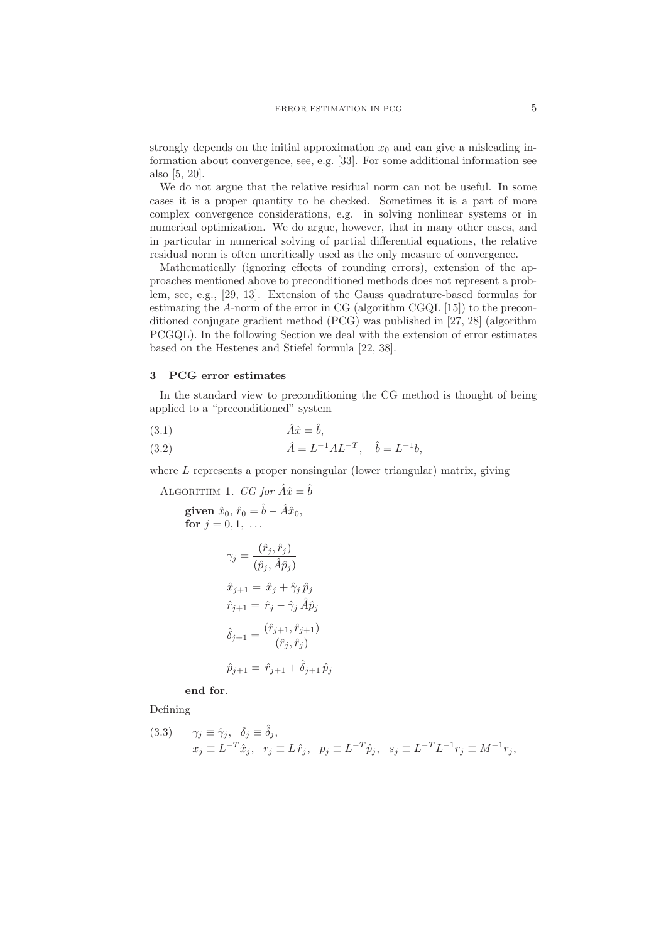strongly depends on the initial approximation  $x_0$  and can give a misleading information about convergence, see, e.g. [33]. For some additional information see also [5, 20].

We do not argue that the relative residual norm can not be useful. In some cases it is a proper quantity to be checked. Sometimes it is a part of more complex convergence considerations, e.g. in solving nonlinear systems or in numerical optimization. We do argue, however, that in many other cases, and in particular in numerical solving of partial differential equations, the relative residual norm is often uncritically used as the only measure of convergence.

Mathematically (ignoring effects of rounding errors), extension of the approaches mentioned above to preconditioned methods does not represent a problem, see, e.g., [29, 13]. Extension of the Gauss quadrature-based formulas for estimating the A-norm of the error in CG (algorithm CGQL [15]) to the preconditioned conjugate gradient method (PCG) was published in [27, 28] (algorithm PCGQL). In the following Section we deal with the extension of error estimates based on the Hestenes and Stiefel formula [22, 38].

## 3 PCG error estimates

In the standard view to preconditioning the CG method is thought of being applied to a "preconditioned" system

$$
\hat{A}\hat{x} = \hat{b},
$$

(3.2) 
$$
\hat{A} = L^{-1} A L^{-T}, \quad \hat{b} = L^{-1} b,
$$

where  $L$  represents a proper nonsingular (lower triangular) matrix, giving

ALGORITHM 1. *CG for* 
$$
\hat{A}\hat{x} = \hat{b}
$$

$$
\begin{aligned}\n\text{given } \hat{x}_0, \ \hat{r}_0 &= \hat{b} - \hat{A}\hat{x}_0, \\
\text{for } j = 0, 1, \ \dots \\
\gamma_j &= \frac{(\hat{r}_j, \hat{r}_j)}{(\hat{p}_j, \hat{A}\hat{p}_j)} \\
\hat{x}_{j+1} &= \hat{x}_j + \hat{\gamma}_j \,\hat{p}_j \\
\hat{r}_{j+1} &= \hat{r}_j - \hat{\gamma}_j \,\hat{A}\hat{p}_j \\
\hat{\delta}_{j+1} &= \frac{(\hat{r}_{j+1}, \hat{r}_{j+1})}{(\hat{r}_j, \hat{r}_j)}\n\end{aligned}
$$

 $\hat{p}_{j+1} = \hat{r}_{j+1} + \hat{\delta}_{j+1} \hat{p}_j$ 

end for.

Defining

(3.3) 
$$
\gamma_j \equiv \hat{\gamma}_j, \quad \delta_j \equiv \hat{\delta}_j,
$$

$$
x_j \equiv L^{-T}\hat{x}_j, \quad r_j \equiv L \hat{r}_j, \quad p_j \equiv L^{-T}\hat{p}_j, \quad s_j \equiv L^{-T}L^{-1}r_j \equiv M^{-1}r_j,
$$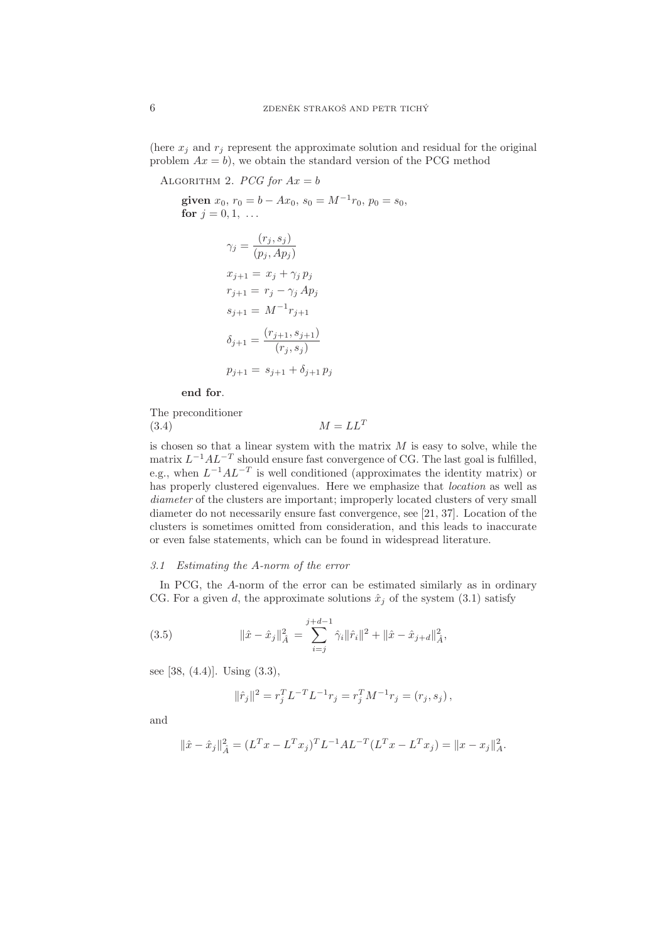(here  $x_j$  and  $r_j$  represent the approximate solution and residual for the original problem  $Ax = b$ , we obtain the standard version of the PCG method

ALGORITHM 2.  $PCG$  for  $Ax = b$ given  $x_0$ ,  $r_0 = b - Ax_0$ ,  $s_0 = M^{-1}r_0$ ,  $p_0 = s_0$ , for  $j = 0, 1, ...$  $\gamma_j = \frac{(r_j, s_j)}{\sqrt{r_j - 4r_j}}$  $(p_j, Ap_j)$  $x_{j+1} = x_j + \gamma_j p_j$  $r_{i+1} = r_i - \gamma_i Ap_i$  $s_{j+1} = M^{-1}r_{j+1}$  $\delta_{j+1} = \frac{(r_{j+1}, s_{j+1})}{(r_{j+1}, s_j)}$  $(r_j, s_j)$  $p_{i+1} = s_{i+1} + \delta_{i+1} p_i$ 

end for.

The preconditioner  $M = LL^T$ (3.4)

is chosen so that a linear system with the matrix  $M$  is easy to solve, while the matrix  $L^{-1}AL^{-T}$  should ensure fast convergence of CG. The last goal is fulfilled, e.g., when  $L^{-1}AL^{-T}$  is well conditioned (approximates the identity matrix) or has properly clustered eigenvalues. Here we emphasize that location as well as diameter of the clusters are important; improperly located clusters of very small diameter do not necessarily ensure fast convergence, see [21, 37]. Location of the clusters is sometimes omitted from consideration, and this leads to inaccurate or even false statements, which can be found in widespread literature.

### 3.1 Estimating the A-norm of the error

In PCG, the A-norm of the error can be estimated similarly as in ordinary CG. For a given d, the approximate solutions  $\hat{x}_i$  of the system (3.1) satisfy

(3.5) 
$$
\|\hat{x} - \hat{x}_j\|_{\hat{A}}^2 = \sum_{i=j}^{j+d-1} \hat{\gamma}_i \|\hat{r}_i\|^2 + \|\hat{x} - \hat{x}_{j+d}\|_{\hat{A}}^2,
$$

see [38, (4.4)]. Using (3.3),

$$
\|\hat{r}_j\|^2 = r_j^T L^{-T} L^{-1} r_j = r_j^T M^{-1} r_j = (r_j, s_j),
$$

and

$$
\|\hat{x} - \hat{x}_j\|_A^2 = (L^T x - L^T x_j)^T L^{-1} A L^{-T} (L^T x - L^T x_j) = \|x - x_j\|_A^2.
$$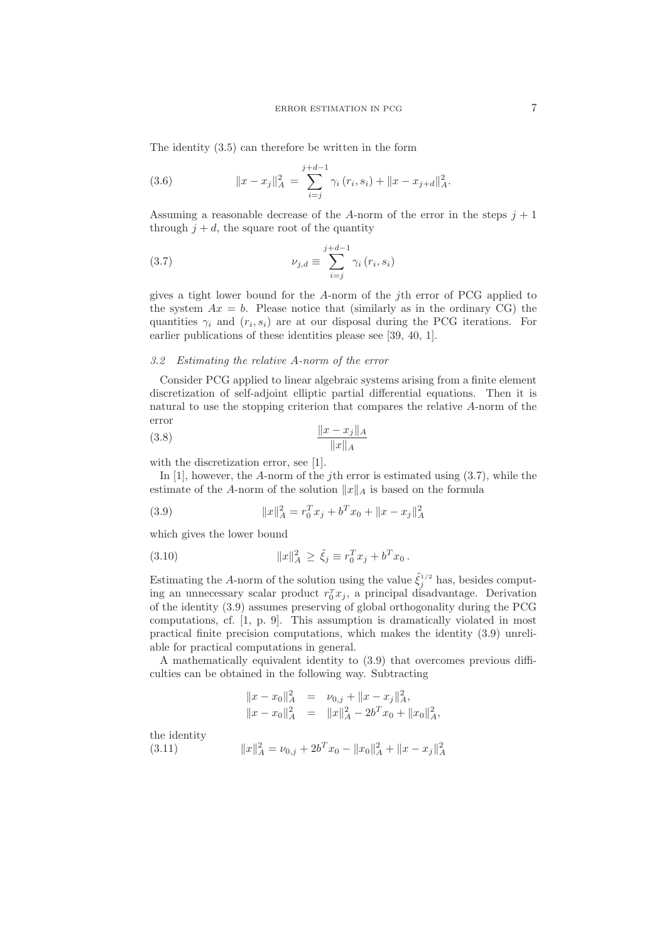The identity (3.5) can therefore be written in the form

(3.6) 
$$
||x - x_j||_A^2 = \sum_{i=j}^{j+d-1} \gamma_i (r_i, s_i) + ||x - x_{j+d}||_A^2.
$$

Assuming a reasonable decrease of the A-norm of the error in the steps  $j + 1$ through  $j + d$ , the square root of the quantity

(3.7) 
$$
\nu_{j,d} \equiv \sum_{i=j}^{j+d-1} \gamma_i (r_i, s_i)
$$

gives a tight lower bound for the A-norm of the jth error of PCG applied to the system  $Ax = b$ . Please notice that (similarly as in the ordinary CG) the quantities  $\gamma_i$  and  $(r_i, s_i)$  are at our disposal during the PCG iterations. For earlier publications of these identities please see [39, 40, 1].

### 3.2 Estimating the relative A-norm of the error

Consider PCG applied to linear algebraic systems arising from a finite element discretization of self-adjoint elliptic partial differential equations. Then it is natural to use the stopping criterion that compares the relative A-norm of the error

$$
\frac{\|x - x_j\|_A}{\|x\|_A}
$$

with the discretization error, see [1].

In  $[1]$ , however, the A-norm of the *j*th error is estimated using  $(3.7)$ , while the estimate of the A-norm of the solution  $||x||_A$  is based on the formula

(3.9) 
$$
||x||_A^2 = r_0^T x_j + b^T x_0 + ||x - x_j||_A^2
$$

which gives the lower bound

(3.10) 
$$
||x||_A^2 \ge \tilde{\xi}_j \equiv r_0^T x_j + b^T x_0.
$$

Estimating the A-norm of the solution using the value  $\tilde{\xi}_j^{1/2}$  has, besides computing an unnecessary scalar product  $r_0^T x_j$ , a principal disadvantage. Derivation of the identity (3.9) assumes preserving of global orthogonality during the PCG computations, cf. [1, p. 9]. This assumption is dramatically violated in most practical finite precision computations, which makes the identity (3.9) unreliable for practical computations in general.

A mathematically equivalent identity to (3.9) that overcomes previous difficulties can be obtained in the following way. Subtracting

$$
||x - x_0||_A^2 = \nu_{0,j} + ||x - x_j||_A^2,
$$
  

$$
||x - x_0||_A^2 = ||x||_A^2 - 2b^T x_0 + ||x_0||_A^2,
$$

the identity

$$
(3.11) \t\t\t ||x||_A^2 = \nu_{0,j} + 2b^T x_0 - ||x_0||_A^2 + ||x - x_j||_A^2
$$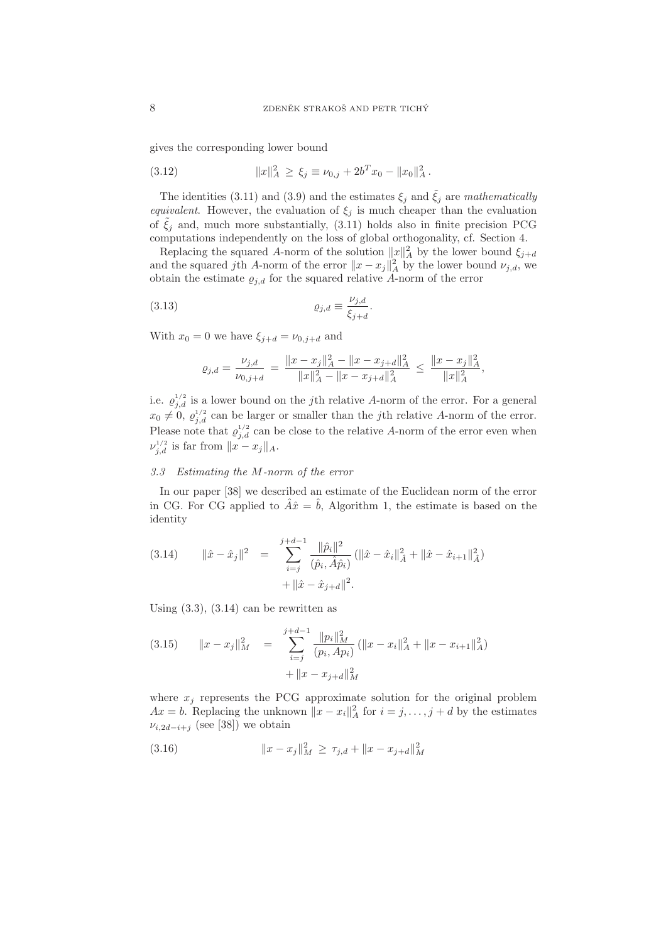gives the corresponding lower bound

(3.12) 
$$
||x||_A^2 \ge \xi_j \equiv \nu_{0,j} + 2b^T x_0 - ||x_0||_A^2.
$$

The identities (3.11) and (3.9) and the estimates  $\xi_j$  and  $\tilde{\xi}_j$  are mathematically *equivalent.* However, the evaluation of  $\xi_j$  is much cheaper than the evaluation of  $\xi_i$  and, much more substantially, (3.11) holds also in finite precision PCG computations independently on the loss of global orthogonality, cf. Section 4.

Replacing the squared A-norm of the solution  $||x||_A^2$  by the lower bound  $\xi_{j+d}$ and the squared jth A-norm of the error  $||x - x_j||_A^2$  by the lower bound  $\nu_{j,d}$ , we obtain the estimate  $\varrho_{i,d}$  for the squared relative A-norm of the error

(3.13) 
$$
\varrho_{j,d} \equiv \frac{\nu_{j,d}}{\xi_{j+d}}.
$$

With  $x_0 = 0$  we have  $\xi_{j+d} = \nu_{0,j+d}$  and

$$
\varrho_{j,d} = \frac{\nu_{j,d}}{\nu_{0,j+d}} = \frac{\|x - x_j\|_A^2 - \|x - x_{j+d}\|_A^2}{\|x\|_A^2 - \|x - x_{j+d}\|_A^2} \le \frac{\|x - x_j\|_A^2}{\|x\|_A^2},
$$

i.e.  $\varrho_{j,d}^{1/2}$  is a lower bound on the jth relative A-norm of the error. For a general  $x_0 \neq 0, \varrho_{j,d}^{1/2}$  can be larger or smaller than the jth relative A-norm of the error. Please note that  $\varrho_{j,d}^{1/2}$  can be close to the relative A-norm of the error even when  $\nu_{j,d}^{1/2}$  is far from  $||x - x_j||_A$ .

### 3.3 Estimating the M-norm of the error

In our paper [38] we described an estimate of the Euclidean norm of the error in CG. For CG applied to  $\hat{A}\hat{x}=\hat{b}$ , Algorithm 1, the estimate is based on the identity

(3.14) 
$$
\|\hat{x} - \hat{x}_j\|^2 = \sum_{i=j}^{j+d-1} \frac{\|\hat{p}_i\|^2}{(\hat{p}_i, \hat{A}\hat{p}_i)} (\|\hat{x} - \hat{x}_i\|_A^2 + \|\hat{x} - \hat{x}_{i+1}\|_A^2) + \|\hat{x} - \hat{x}_{j+d}\|^2.
$$

Using  $(3.3)$ ,  $(3.14)$  can be rewritten as

$$
(3.15) \t ||x - xj||2M = \sum_{i=j}^{j+d-1} \frac{||p_i||2M}{(p_i, Ap_i)} (||x - xi||2A + ||x - xi+1||2A)+ ||x - xj+d||2M
$$

where  $x_i$  represents the PCG approximate solution for the original problem  $Ax = b$ . Replacing the unknown  $||x - x_i||_A^2$  for  $i = j, \ldots, j + d$  by the estimates  $\nu_{i,2d-i+j}$  (see [38]) we obtain

(3.16) 
$$
||x - x_j||_M^2 \ge \tau_{j,d} + ||x - x_{j+d}||_M^2
$$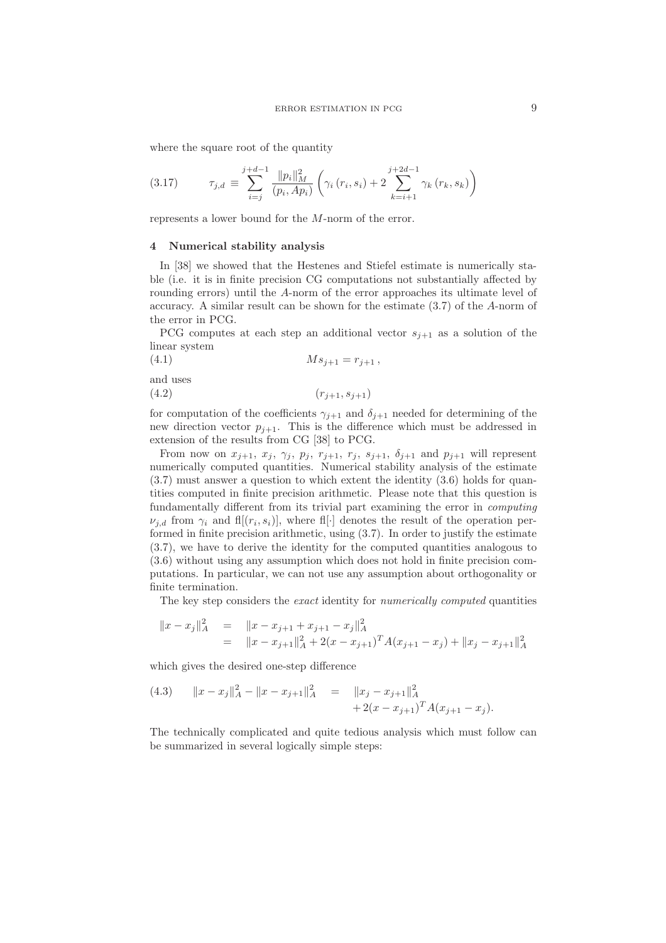where the square root of the quantity

$$
(3.17) \t\t \tau_{j,d} \equiv \sum_{i=j}^{j+d-1} \frac{\|p_i\|_M^2}{(p_i, Ap_i)} \left( \gamma_i (r_i, s_i) + 2 \sum_{k=i+1}^{j+2d-1} \gamma_k (r_k, s_k) \right)
$$

represents a lower bound for the M-norm of the error.

### 4 Numerical stability analysis

In [38] we showed that the Hestenes and Stiefel estimate is numerically stable (i.e. it is in finite precision CG computations not substantially affected by rounding errors) until the A-norm of the error approaches its ultimate level of accuracy. A similar result can be shown for the estimate (3.7) of the A-norm of the error in PCG.

PCG computes at each step an additional vector  $s_{j+1}$  as a solution of the linear system

(4.1) 
$$
M s_{j+1} = r_{j+1} ,
$$

and uses

$$
(4.2) \qquad \qquad (r_{j+1}, s_{j+1})
$$

for computation of the coefficients  $\gamma_{i+1}$  and  $\delta_{i+1}$  needed for determining of the new direction vector  $p_{i+1}$ . This is the difference which must be addressed in extension of the results from CG [38] to PCG.

From now on  $x_{j+1}$ ,  $x_j$ ,  $\gamma_j$ ,  $p_j$ ,  $r_{j+1}$ ,  $r_j$ ,  $s_{j+1}$ ,  $\delta_{j+1}$  and  $p_{j+1}$  will represent numerically computed quantities. Numerical stability analysis of the estimate (3.7) must answer a question to which extent the identity (3.6) holds for quantities computed in finite precision arithmetic. Please note that this question is fundamentally different from its trivial part examining the error in computing  $\nu_{j,d}$  from  $\gamma_i$  and fl[ $(r_i, s_i)$ ], where fl[ $\cdot$ ] denotes the result of the operation performed in finite precision arithmetic, using (3.7). In order to justify the estimate (3.7), we have to derive the identity for the computed quantities analogous to (3.6) without using any assumption which does not hold in finite precision computations. In particular, we can not use any assumption about orthogonality or finite termination.

The key step considers the exact identity for numerically computed quantities

$$
||x - x_j||_A^2 = ||x - x_{j+1} + x_{j+1} - x_j||_A^2
$$
  
= 
$$
||x - x_{j+1}||_A^2 + 2(x - x_{j+1})^T A(x_{j+1} - x_j) + ||x_j - x_{j+1}||_A^2
$$

which gives the desired one-step difference

(4.3) 
$$
||x - x_j||_A^2 - ||x - x_{j+1}||_A^2 = ||x_j - x_{j+1}||_A^2 + 2(x - x_{j+1})^T A (x_{j+1} - x_j).
$$

The technically complicated and quite tedious analysis which must follow can be summarized in several logically simple steps: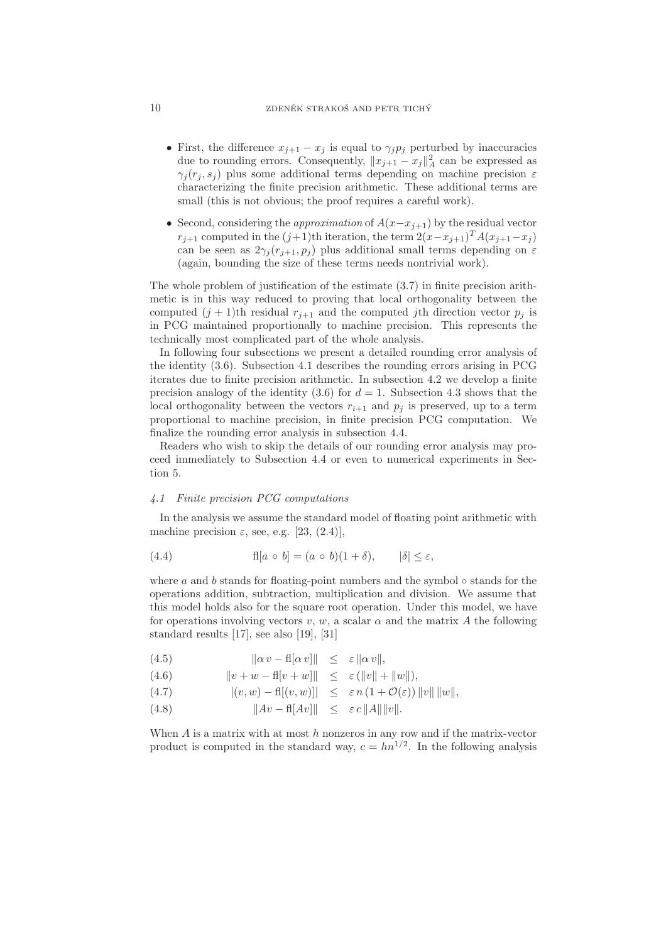# 10 ZDENĚK STRAKOŠ AND PETR TICHÝ

- First, the difference  $x_{j+1} x_j$  is equal to  $\gamma_j p_j$  perturbed by inaccuracies due to rounding errors. Consequently,  $||x_{j+1} - x_j||_A^2$  can be expressed as  $\gamma_i(r_i, s_i)$  plus some additional terms depending on machine precision  $\varepsilon$ characterizing the finite precision arithmetic. These additional terms are small (this is not obvious; the proof requires a careful work).
- Second, considering the *approximation* of  $A(x-x_{j+1})$  by the residual vector  $r_{j+1}$  computed in the  $(j+1)$ th iteration, the term  $2(x-x_{j+1})^T A(x_{j+1}-x_j)$ can be seen as  $2\gamma_i(r_{i+1}, p_i)$  plus additional small terms depending on  $\varepsilon$ (again, bounding the size of these terms needs nontrivial work).

The whole problem of justification of the estimate (3.7) in finite precision arithmetic is in this way reduced to proving that local orthogonality between the computed  $(j + 1)$ th residual  $r_{j+1}$  and the computed jth direction vector  $p_j$  is in PCG maintained proportionally to machine precision. This represents the technically most complicated part of the whole analysis.

In following four subsections we present a detailed rounding error analysis of the identity (3.6). Subsection 4.1 describes the rounding errors arising in PCG iterates due to finite precision arithmetic. In subsection 4.2 we develop a finite precision analogy of the identity  $(3.6)$  for  $d = 1$ . Subsection 4.3 shows that the local orthogonality between the vectors  $r_{i+1}$  and  $p_i$  is preserved, up to a term proportional to machine precision, in finite precision PCG computation. We finalize the rounding error analysis in subsection 4.4.

Readers who wish to skip the details of our rounding error analysis may proceed immediately to Subsection 4.4 or even to numerical experiments in Section 5.

#### 4.1 Finite precision PCG computations

In the analysis we assume the standard model of floating point arithmetic with machine precision  $\varepsilon$ , see, e.g. [23, (2.4)],

(4.4) 
$$
fl[a \circ b] = (a \circ b)(1 + \delta), \qquad |\delta| \leq \varepsilon,
$$

where  $a$  and  $b$  stands for floating-point numbers and the symbol  $\circ$  stands for the operations addition, subtraction, multiplication and division. We assume that this model holds also for the square root operation. Under this model, we have for operations involving vectors v, w, a scalar  $\alpha$  and the matrix A the following standard results [17], see also [19], [31]

$$
(4.5) \t\t\t ||\alpha v - \text{fl}\alpha v||| \leq \varepsilon ||\alpha v||,
$$

(4.6) 
$$
||v + w - \text{fl}[v + w]|| \leq \varepsilon (||v|| + ||w||),
$$

$$
(4.7) \quad |(v, w) - \text{fl}[(v, w)]| \leq \varepsilon n (1 + \mathcal{O}(\varepsilon)) ||v|| ||w||,
$$

(4.8) kAv − fl[Av]k ≤ ε c kAkkvk.

When  $A$  is a matrix with at most  $h$  nonzeros in any row and if the matrix-vector product is computed in the standard way,  $c = h n^{1/2}$ . In the following analysis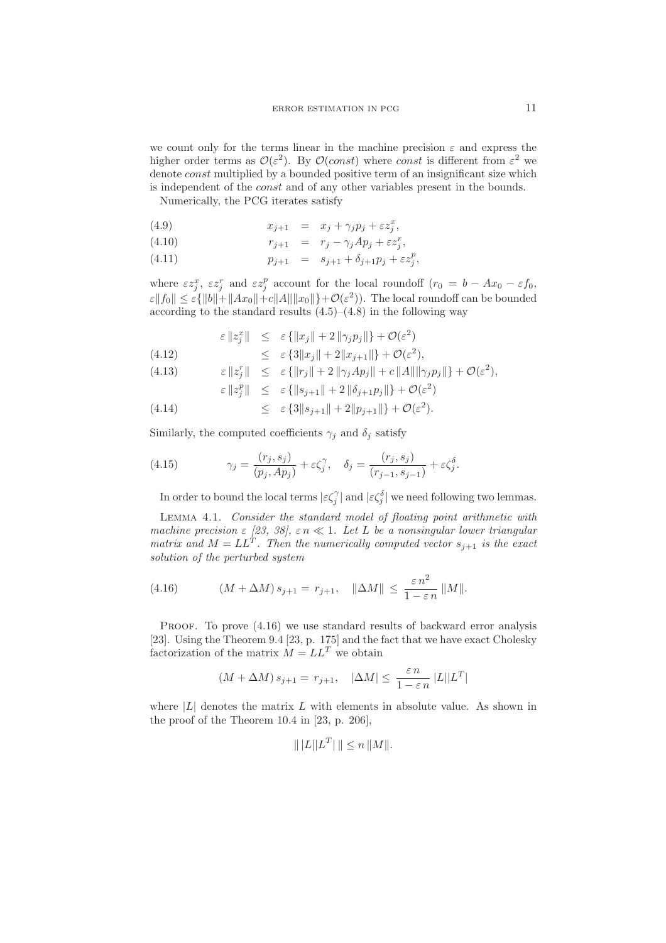we count only for the terms linear in the machine precision  $\varepsilon$  and express the higher order terms as  $\mathcal{O}(\varepsilon^2)$ . By  $\mathcal{O}(const)$  where const is different from  $\varepsilon^2$  we denote *const* multiplied by a bounded positive term of an insignificant size which is independent of the const and of any other variables present in the bounds.

Numerically, the PCG iterates satisfy

(4.9) 
$$
x_{j+1} = x_j + \gamma_j p_j + \varepsilon z_j^x,
$$

(4.10) 
$$
r_{j+1} = r_j - \gamma_j Ap_j + \varepsilon z_j^r,
$$

(4.11) 
$$
p_{j+1} = s_{j+1} + \delta_{j+1} p_j + \varepsilon z_j^p,
$$

where  $\epsilon z_j^x$ ,  $\epsilon z_j^r$  and  $\epsilon z_j^p$  account for the local roundoff  $(r_0 = b - Ax_0 - \epsilon f_0)$ ,  $\|\varepsilon\|f_0\| \leq \varepsilon \{ \|b\| + \|Ax_0\| + c\|A\| \|x_0\| \} + \mathcal{O}(\varepsilon^2)$ . The local roundoff can be bounded according to the standard results  $(4.5)$ – $(4.8)$  in the following way

$$
\varepsilon \|z_j^x\| \leq \varepsilon \{ \|x_j\| + 2 \|\gamma_j p_j\| \} + \mathcal{O}(\varepsilon^2)
$$
  

$$
\leq \varepsilon \{3\|x_j\| + 2\|x_{j+1}\| + \mathcal{O}(\varepsilon^2)
$$

$$
(4.12) \qquad \leq \varepsilon \{3\|x_j\| + 2\|x_{j+1}\|\} + \mathcal{O}(\varepsilon^2),
$$
\n
$$
(4.13) \qquad \varepsilon \|x^r\| \leq \varepsilon \{x\|x_r\| + 2\|\alpha_r A x_r\| + \varepsilon \|A\| \|\alpha_r\|.
$$

$$
(4.13) \qquad \qquad \varepsilon \left\| z_j^r \right\| \leq \varepsilon \left\{ \| r_j \| + 2 \| \gamma_j A p_j \| + c \| A \| \| \gamma_j p_j \| \right\} + \mathcal{O}(\varepsilon^2),
$$

$$
\varepsilon \left\| z_j^p \right\| \leq \varepsilon \left\{ \left\| s_{j+1} \right\| + 2 \left\| \delta_{j+1} p_j \right\| \right\} + \mathcal{O}(\varepsilon^2)
$$

(4.14) 
$$
\leq \ \ \varepsilon \{3\|s_{j+1}\|+2\|p_{j+1}\|\}+\mathcal{O}(\varepsilon^2).
$$

Similarly, the computed coefficients  $\gamma_j$  and  $\delta_j$  satisfy

(4.15) 
$$
\gamma_j = \frac{(r_j, s_j)}{(p_j, Ap_j)} + \varepsilon \zeta_j^{\gamma}, \quad \delta_j = \frac{(r_j, s_j)}{(r_{j-1}, s_{j-1})} + \varepsilon \zeta_j^{\delta}.
$$

In order to bound the local terms  $|\varepsilon\zeta_j^{\gamma}|$  and  $|\varepsilon\zeta_j^{\delta}|$  we need following two lemmas.

Lemma 4.1. Consider the standard model of floating point arithmetic with machine precision  $\varepsilon$  [23, 38],  $\varepsilon n \ll 1$ . Let L be a nonsingular lower triangular matrix and  $M = LL^T$ . Then the numerically computed vector  $s_{j+1}$  is the exact solution of the perturbed system

(4.16) 
$$
(M + \Delta M) s_{j+1} = r_{j+1}, \quad \|\Delta M\| \le \frac{\varepsilon n^2}{1 - \varepsilon n} \|M\|.
$$

PROOF. To prove  $(4.16)$  we use standard results of backward error analysis [23]. Using the Theorem 9.4 [23, p. 175] and the fact that we have exact Cholesky factorization of the matrix  $\dot{M} = LL^T$  we obtain

$$
(M + \Delta M) s_{j+1} = r_{j+1}, \quad |\Delta M| \le \frac{\varepsilon n}{1 - \varepsilon n} |L||L^T|
$$

where  $|L|$  denotes the matrix L with elements in absolute value. As shown in the proof of the Theorem 10.4 in [23, p. 206],

$$
\| |L||L^T| \| \le n \|M\|.
$$

 $22.22$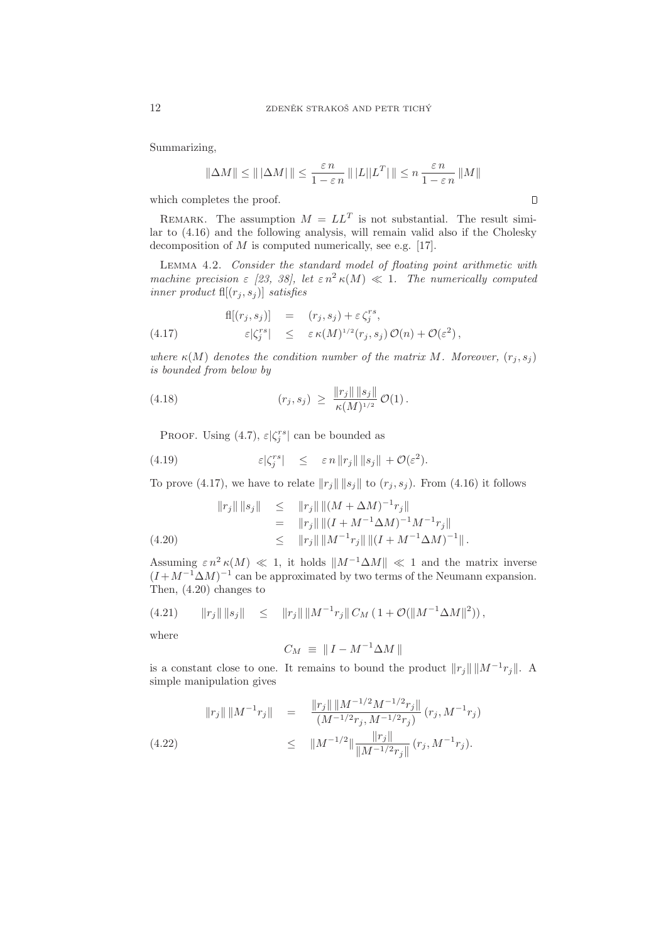Summarizing,

$$
\|\Delta M\| \le \|\,|\Delta M|\,\| \le \frac{\varepsilon\, n}{1-\varepsilon\, n}\,\|\,|L||L^T|\,\| \le n\,\frac{\varepsilon\, n}{1-\varepsilon\, n}\,\|M\|
$$

which completes the proof.

REMARK. The assumption  $M = LL^T$  is not substantial. The result similar to (4.16) and the following analysis, will remain valid also if the Cholesky decomposition of  $M$  is computed numerically, see e.g. [17].

Lemma 4.2. Consider the standard model of floating point arithmetic with machine precision  $\varepsilon$  [23, 38], let  $\varepsilon n^2 \kappa(M) \ll 1$ . The numerically computed inner product  $\text{fl}[(r_j, s_j)]$  satisfies

(4.17) 
$$
f\!\!\!\!\!|[(r_j,s_j)] = (r_j,s_j) + \varepsilon \zeta_j^{rs},
$$

$$
\varepsilon |\zeta_j^{rs}| \leq \varepsilon \kappa (M)^{1/2} (r_j,s_j) \mathcal{O}(n) + \mathcal{O}(\varepsilon^2),
$$

where  $\kappa(M)$  denotes the condition number of the matrix M. Moreover,  $(r_i, s_j)$ is bounded from below by

(4.18) 
$$
(r_j, s_j) \geq \frac{\|r_j\| \|s_j\|}{\kappa(M)^{1/2}} \mathcal{O}(1).
$$

PROOF. Using (4.7),  $\varepsilon |\zeta_j^{rs}|$  can be bounded as

(4.19) 
$$
\varepsilon |\zeta_j^{rs}| \leq \varepsilon n \|r_j\| \|s_j\| + \mathcal{O}(\varepsilon^2).
$$

To prove (4.17), we have to relate  $||r_j|| ||s_j||$  to  $(r_j, s_j)$ . From (4.16) it follows

$$
||r_j|| ||s_j|| \le ||r_j|| ||(M + \Delta M)^{-1}r_j||
$$
  
=  $||r_j|| ||(I + M^{-1}\Delta M)^{-1}M^{-1}r_j||$   
 $\le ||r_j|| ||M^{-1}r_j|| ||(I + M^{-1}\Delta M)^{-1}||.$   
(4.20)

Assuming  $\varepsilon n^2 \kappa(M) \ll 1$ , it holds  $||M^{-1}\Delta M|| \ll 1$  and the matrix inverse  $(I + M^{-1} \Delta M)^{-1}$  can be approximated by two terms of the Neumann expansion. Then, (4.20) changes to

$$
(4.21) \t ||r_j|| ||s_j|| \le ||r_j|| ||M^{-1}r_j|| C_M (1 + \mathcal{O}(|M^{-1}\Delta M||^2)),
$$

where

$$
C_M \ \equiv \ \Vert \ I - M^{-1} \Delta M \ \Vert
$$

is a constant close to one. It remains to bound the product  $||r_j|| ||M^{-1}r_j||$ . A simple manipulation gives

$$
||r_j|| ||M^{-1}r_j|| = \frac{||r_j|| ||M^{-1/2}M^{-1/2}r_j||}{(M^{-1/2}r_j, M^{-1/2}r_j)} (r_j, M^{-1}r_j)
$$
  
(4.22) 
$$
\leq ||M^{-1/2}|| \frac{||r_j||}{||M^{-1/2}r_j||} (r_j, M^{-1}r_j).
$$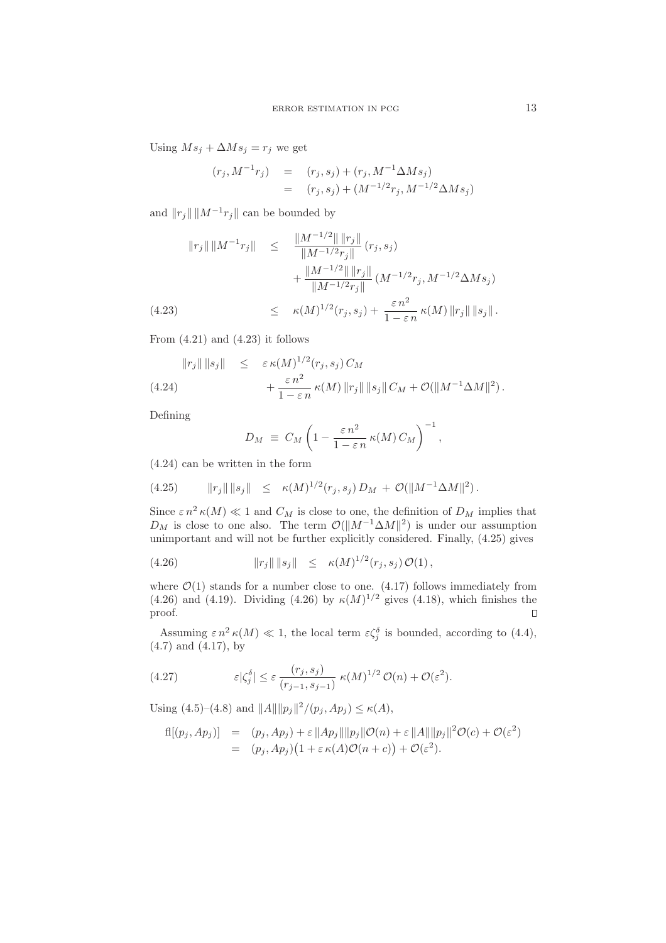Using  $Ms_j + \Delta Ms_j = r_j$  we get

$$
(r_j, M^{-1}r_j) = (r_j, s_j) + (r_j, M^{-1}\Delta Ms_j)
$$
  
= 
$$
(r_j, s_j) + (M^{-1/2}r_j, M^{-1/2}\Delta Ms_j)
$$

and  $||r_j|| ||M^{-1}r_j||$  can be bounded by

$$
\|r_j\| \|M^{-1}r_j\| \leq \frac{\|M^{-1/2}\| \|r_j\|}{\|M^{-1/2}r_j\|} (r_j, s_j) +\frac{\|M^{-1/2}\| \|r_j\|}{\|M^{-1/2}r_j\|} (M^{-1/2}r_j, M^{-1/2}\Delta M s_j) \leq \kappa(M)^{1/2}(r_j, s_j) + \frac{\varepsilon n^2}{1 - \varepsilon n} \kappa(M) \|r_j\| \|s_j\|.
$$

From  $(4.21)$  and  $(4.23)$  it follows

$$
||r_j|| ||s_j|| \leq \varepsilon \kappa(M)^{1/2} (r_j, s_j) C_M + \frac{\varepsilon n^2}{1 - \varepsilon n} \kappa(M) ||r_j|| ||s_j|| C_M + \mathcal{O}(||M^{-1} \Delta M||^2).
$$

Defining

$$
D_M \equiv C_M \left( 1 - \frac{\varepsilon n^2}{1 - \varepsilon n} \kappa(M) C_M \right)^{-1},
$$

(4.24) can be written in the form

$$
(4.25) \t\t ||r_j|| \t ||s_j|| \leq \kappa(M)^{1/2}(r_j,s_j) D_M + \mathcal{O}(\Vert M^{-1} \Delta M \Vert^2).
$$

Since  $\varepsilon n^2 \kappa(M) \ll 1$  and  $C_M$  is close to one, the definition of  $D_M$  implies that  $D_M$  is close to one also. The term  $\mathcal{O}(\Vert M^{-1}\Delta M\Vert^2)$  is under our assumption unimportant and will not be further explicitly considered. Finally, (4.25) gives

(4.26) 
$$
||r_j|| ||s_j|| \leq \kappa(M)^{1/2} (r_j, s_j) \mathcal{O}(1),
$$

where  $\mathcal{O}(1)$  stands for a number close to one. (4.17) follows immediately from  $(4.26)$  and  $(4.19)$ . Dividing  $(4.26)$  by  $\kappa(M)^{1/2}$  gives  $(4.18)$ , which finishes the proof.  $\hfill \square$ 

Assuming  $\varepsilon n^2 \kappa(M) \ll 1$ , the local term  $\varepsilon \zeta_j^{\delta}$  is bounded, according to (4.4), (4.7) and (4.17), by

(4.27) 
$$
\varepsilon |\zeta_j^{\delta}| \leq \varepsilon \frac{(r_j, s_j)}{(r_{j-1}, s_{j-1})} \ \kappa(M)^{1/2} \ \mathcal{O}(n) + \mathcal{O}(\varepsilon^2).
$$

Using  $(4.5)$ – $(4.8)$  and  $||A|| ||p_j||^2/(p_j, Ap_j) \le \kappa(A)$ ,

$$
f\!\mathrm{l}[(p_j, Ap_j)] = (p_j, Ap_j) + \varepsilon ||Ap_j|| ||p_j|| \mathcal{O}(n) + \varepsilon ||A|| ||p_j||^2 \mathcal{O}(c) + \mathcal{O}(\varepsilon^2)
$$
  
= 
$$
(p_j, Ap_j)(1 + \varepsilon \kappa(A)\mathcal{O}(n+c)) + \mathcal{O}(\varepsilon^2).
$$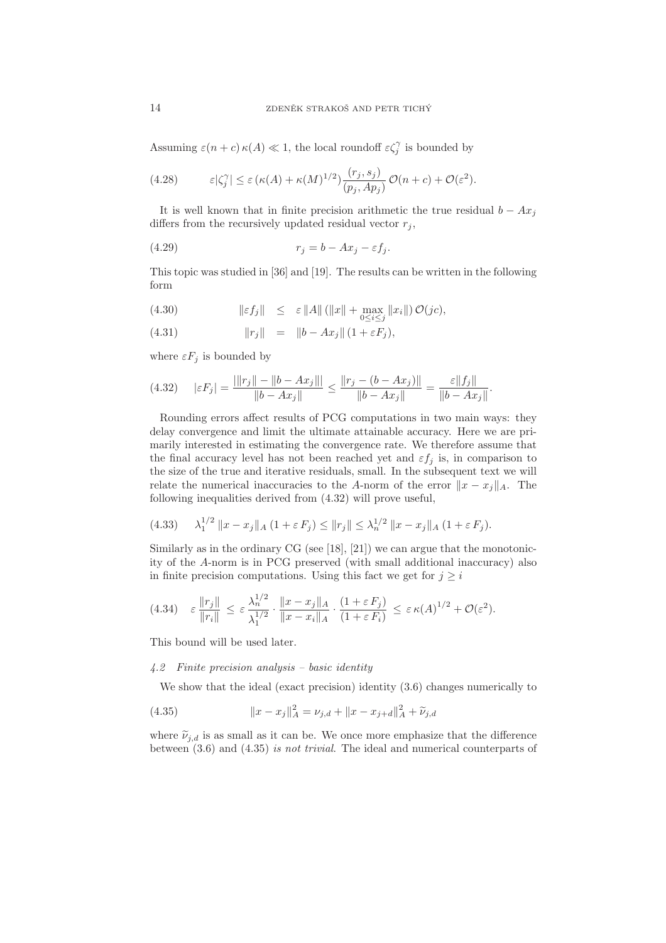Assuming  $\varepsilon(n+c) \kappa(A) \ll 1$ , the local roundoff  $\varepsilon \zeta_j^{\gamma}$  is bounded by

(4.28) 
$$
\varepsilon |\zeta_j^{\gamma}| \leq \varepsilon (\kappa(A) + \kappa(M)^{1/2}) \frac{(r_j, s_j)}{(p_j, Ap_j)} \mathcal{O}(n+c) + \mathcal{O}(\varepsilon^2).
$$

It is well known that in finite precision arithmetic the true residual  $b - Ax_j$ differs from the recursively updated residual vector  $r_j$ ,

$$
(4.29) \t\t\t r_j = b - Ax_j - \varepsilon f_j.
$$

This topic was studied in [36] and [19]. The results can be written in the following form

(4.30) 
$$
\|\varepsilon f_j\| \leq \varepsilon \|A\| (\|x\| + \max_{0 \leq i \leq j} \|x_i\|) \mathcal{O}(jc),
$$

(4.31) 
$$
||r_j|| = ||b - Ax_j|| (1 + \varepsilon F_j),
$$

where  $\varepsilon F_j$  is bounded by

$$
(4.32) \quad |\varepsilon F_j| = \frac{|\|r_j\| - \|b - Ax_j\||}{\|b - Ax_j\|} \le \frac{\|r_j - (b - Ax_j)\|}{\|b - Ax_j\|} = \frac{\varepsilon \|f_j\|}{\|b - Ax_j\|}.
$$

Rounding errors affect results of PCG computations in two main ways: they delay convergence and limit the ultimate attainable accuracy. Here we are primarily interested in estimating the convergence rate. We therefore assume that the final accuracy level has not been reached yet and  $\varepsilon f_j$  is, in comparison to the size of the true and iterative residuals, small. In the subsequent text we will relate the numerical inaccuracies to the A-norm of the error  $||x - x_j||_A$ . The following inequalities derived from (4.32) will prove useful,

$$
(4.33) \quad \lambda_1^{1/2} \|x - x_j\|_A \ (1 + \varepsilon F_j) \le \|r_j\| \le \lambda_n^{1/2} \|x - x_j\|_A \ (1 + \varepsilon F_j).
$$

Similarly as in the ordinary CG (see [18], [21]) we can argue that the monotonicity of the A-norm is in PCG preserved (with small additional inaccuracy) also in finite precision computations. Using this fact we get for  $j \geq i$ 

$$
(4.34) \quad \varepsilon \, \frac{\|r_j\|}{\|r_i\|} \, \leq \, \varepsilon \, \frac{\lambda_n^{1/2}}{\lambda_1^{1/2}} \cdot \frac{\|x - x_j\|_A}{\|x - x_i\|_A} \cdot \frac{(1 + \varepsilon \, F_j)}{(1 + \varepsilon \, F_i)} \, \leq \, \varepsilon \, \kappa(A)^{1/2} + \mathcal{O}(\varepsilon^2).
$$

This bound will be used later.

# 4.2 Finite precision analysis – basic identity

We show that the ideal (exact precision) identity (3.6) changes numerically to

(4.35) 
$$
||x - x_j||_A^2 = \nu_{j,d} + ||x - x_{j+d}||_A^2 + \widetilde{\nu}_{j,d}
$$

where  $\tilde{\nu}_{j,d}$  is as small as it can be. We once more emphasize that the difference between (3.6) and (4.35) is not trivial. The ideal and numerical counterparts of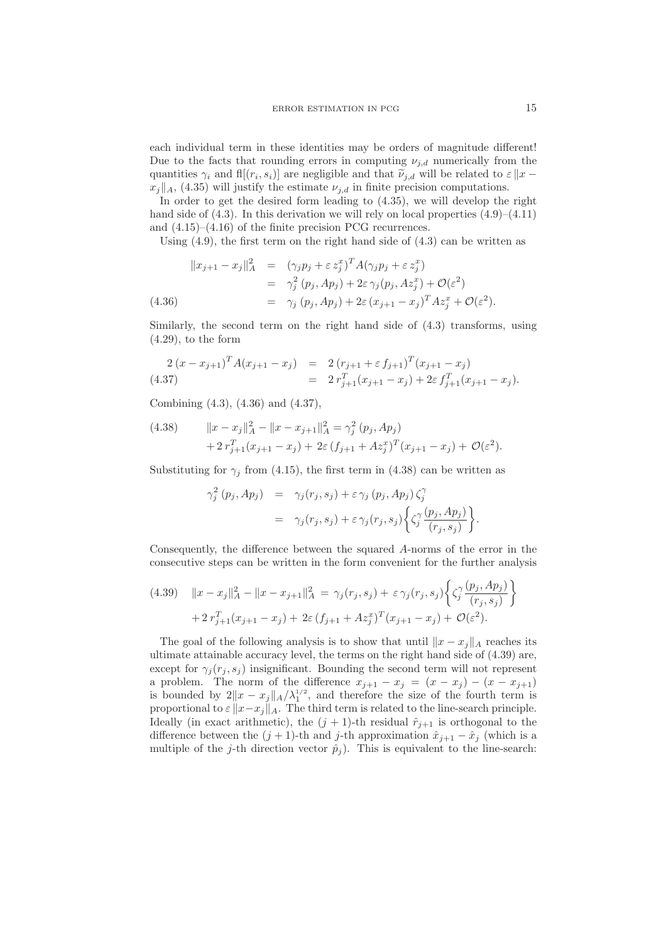each individual term in these identities may be orders of magnitude different! Due to the facts that rounding errors in computing  $\nu_{j,d}$  numerically from the quantities  $\gamma_i$  and  $\text{fl}(r_i, s_i)$  are negligible and that  $\tilde{\nu}_{j,d}$  will be related to  $\varepsilon \|x$  $x_j||_A$ , (4.35) will justify the estimate  $\nu_{j,d}$  in finite precision computations.

In order to get the desired form leading to (4.35), we will develop the right hand side of  $(4.3)$ . In this derivation we will rely on local properties  $(4.9)$ – $(4.11)$ and (4.15)–(4.16) of the finite precision PCG recurrences.

Using  $(4.9)$ , the first term on the right hand side of  $(4.3)$  can be written as

$$
||x_{j+1} - x_j||_A^2 = (\gamma_j p_j + \varepsilon z_j^x)^T A (\gamma_j p_j + \varepsilon z_j^x)
$$
  
=  $\gamma_j^2 (p_j, Ap_j) + 2\varepsilon \gamma_j (p_j, Az_j^x) + \mathcal{O}(\varepsilon^2)$   
(4.36)  
=  $\gamma_j (p_j, Ap_j) + 2\varepsilon (x_{j+1} - x_j)^T Az_j^x + \mathcal{O}(\varepsilon^2)$ .

Similarly, the second term on the right hand side of (4.3) transforms, using  $(4.29)$ , to the form

$$
\begin{array}{rcl}\n2(x - x_{j+1})^T A (x_{j+1} - x_j) & = & 2 (r_{j+1} + \varepsilon f_{j+1})^T (x_{j+1} - x_j) \\
& = & 2 \, r_{j+1}^T (x_{j+1} - x_j) + 2 \varepsilon \, f_{j+1}^T (x_{j+1} - x_j).\n\end{array}
$$

Combining (4.3), (4.36) and (4.37),

(4.38) 
$$
||x - x_j||_A^2 - ||x - x_{j+1}||_A^2 = \gamma_j^2 (p_j, Ap_j) + 2 r_{j+1}^T (x_{j+1} - x_j) + 2\varepsilon (f_{j+1} + Az_j^x)^T (x_{j+1} - x_j) + \mathcal{O}(\varepsilon^2).
$$

Substituting for  $\gamma_j$  from (4.15), the first term in (4.38) can be written as

$$
\gamma_j^2(p_j, Ap_j) = \gamma_j(r_j, s_j) + \varepsilon \gamma_j(p_j, Ap_j) \zeta_j^{\gamma}
$$
  
= 
$$
\gamma_j(r_j, s_j) + \varepsilon \gamma_j(r_j, s_j) \left\{ \zeta_j^{\gamma} \frac{(p_j, Ap_j)}{(r_j, s_j)} \right\}.
$$

Consequently, the difference between the squared A-norms of the error in the consecutive steps can be written in the form convenient for the further analysis

$$
(4.39) \quad ||x - x_j||_A^2 - ||x - x_{j+1}||_A^2 = \gamma_j(r_j, s_j) + \varepsilon \gamma_j(r_j, s_j) \left\{ \zeta_j^{\gamma} \frac{(p_j, Ap_j)}{(r_j, s_j)} \right\} + 2 r_{j+1}^T (x_{j+1} - x_j) + 2\varepsilon (f_{j+1} + Az_j^x)^T (x_{j+1} - x_j) + \mathcal{O}(\varepsilon^2).
$$

The goal of the following analysis is to show that until  $||x - x_i||_A$  reaches its ultimate attainable accuracy level, the terms on the right hand side of (4.39) are, except for  $\gamma_i(r_i, s_i)$  insignificant. Bounding the second term will not represent a problem. The norm of the difference  $x_{j+1} - x_j = (x - x_j) - (x - x_{j+1})$ is bounded by  $2||x - x_j||_A / \lambda_1^{1/2}$ , and therefore the size of the fourth term is proportional to  $\varepsilon ||x-x_j||_A$ . The third term is related to the line-search principle. Ideally (in exact arithmetic), the  $(j + 1)$ -th residual  $\hat{r}_{j+1}$  is orthogonal to the difference between the  $(j + 1)$ -th and j-th approximation  $\hat{x}_{j+1} - \hat{x}_j$  (which is a multiple of the j-th direction vector  $\hat{p}_j$ ). This is equivalent to the line-search: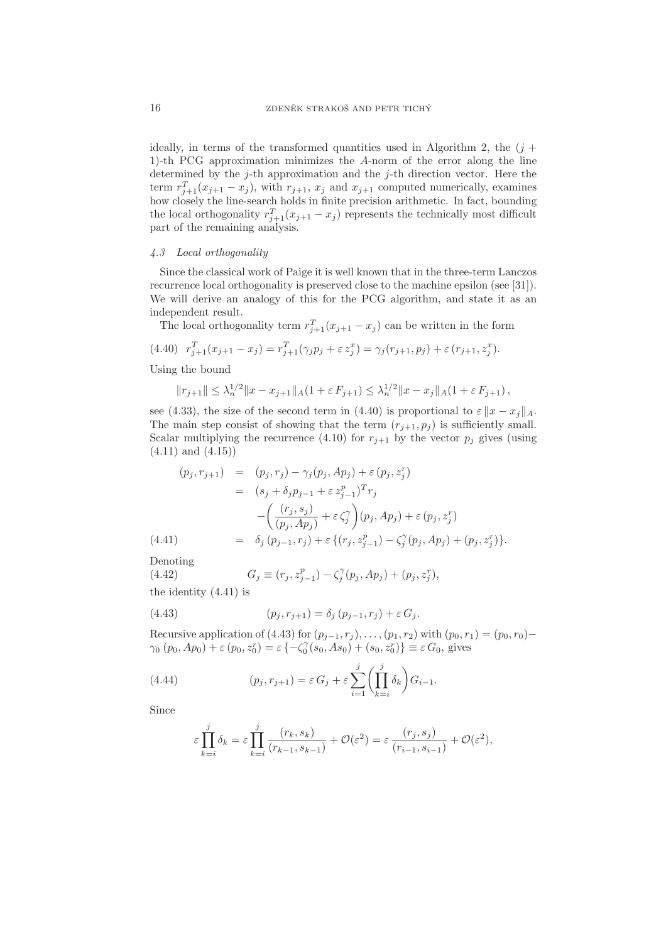ideally, in terms of the transformed quantities used in Algorithm 2, the  $(i +$ 1)-th PCG approximation minimizes the A-norm of the error along the line determined by the  $j$ -th approximation and the  $j$ -th direction vector. Here the term  $r_{j+1}^T(x_{j+1} - x_j)$ , with  $r_{j+1}$ ,  $x_j$  and  $x_{j+1}$  computed numerically, examines how closely the line-search holds in finite precision arithmetic. In fact, bounding the local orthogonality  $r_{j+1}^T(x_{j+1} - x_j)$  represents the technically most difficult part of the remaining analysis.

### 4.3 Local orthogonality

Since the classical work of Paige it is well known that in the three-term Lanczos recurrence local orthogonality is preserved close to the machine epsilon (see [31]). We will derive an analogy of this for the PCG algorithm, and state it as an independent result.

The local orthogonality term  $r_{j+1}^T(x_{j+1} - x_j)$  can be written in the form

$$
(4.40) \t r_{j+1}^T(x_{j+1} - x_j) = r_{j+1}^T(\gamma_j p_j + \varepsilon z_j^x) = \gamma_j(r_{j+1}, p_j) + \varepsilon (r_{j+1}, z_j^x).
$$

Using the bound

$$
||r_{j+1}|| \leq \lambda_n^{1/2} ||x - x_{j+1}||_A (1 + \varepsilon F_{j+1}) \leq \lambda_n^{1/2} ||x - x_j||_A (1 + \varepsilon F_{j+1}),
$$

see (4.33), the size of the second term in (4.40) is proportional to  $\varepsilon ||x - x_j||_A$ . The main step consist of showing that the term  $(r_{j+1}, p_j)$  is sufficiently small. Scalar multiplying the recurrence (4.10) for  $r_{i+1}$  by the vector  $p_i$  gives (using  $(4.11)$  and  $(4.15)$ 

(4.41)  
\n
$$
(p_j, r_{j+1}) = (p_j, r_j) - \gamma_j (p_j, Ap_j) + \varepsilon (p_j, z_j^r)
$$
\n
$$
= (s_j + \delta_j p_{j-1} + \varepsilon z_{j-1}^p)^T r_j
$$
\n
$$
- \left( \frac{(r_j, s_j)}{(p_j, Ap_j)} + \varepsilon \zeta_j^{\gamma} \right) (p_j, Ap_j) + \varepsilon (p_j, z_j^r)
$$
\n
$$
(4.41)
$$
\n
$$
= \delta_j (p_{j-1}, r_j) + \varepsilon \{ (r_j, z_{j-1}^p) - \zeta_j^{\gamma} (p_j, Ap_j) + (p_j, z_j^r) \}.
$$

Denoting

(4.42) 
$$
G_j \equiv (r_j, z_{j-1}^p) - \zeta_j^{\gamma}(p_j, Ap_j) + (p_j, z_j^r),
$$

the identity (4.41) is

(4.43) 
$$
(p_j, r_{j+1}) = \delta_j (p_{j-1}, r_j) + \varepsilon G_j.
$$

Recursive application of (4.43) for  $(p_{j-1}, r_j), \ldots, (p_1, r_2)$  with  $(p_0, r_1) = (p_0, r_0)$ −  $\gamma_0(p_0, Ap_0) + \varepsilon(p_0, z_0^r) = \varepsilon \{-\zeta_0^{\gamma}(s_0, As_0) + (s_0, z_0^r)\} \equiv \varepsilon G_0$ , gives

(4.44) 
$$
(p_j, r_{j+1}) = \varepsilon G_j + \varepsilon \sum_{i=1}^j \left( \prod_{k=i}^j \delta_k \right) G_{i-1}.
$$

Since

$$
\varepsilon \prod_{k=i}^j \delta_k = \varepsilon \prod_{k=i}^j \frac{(r_k, s_k)}{(r_{k-1}, s_{k-1})} + \mathcal{O}(\varepsilon^2) = \varepsilon \frac{(r_j, s_j)}{(r_{i-1}, s_{i-1})} + \mathcal{O}(\varepsilon^2),
$$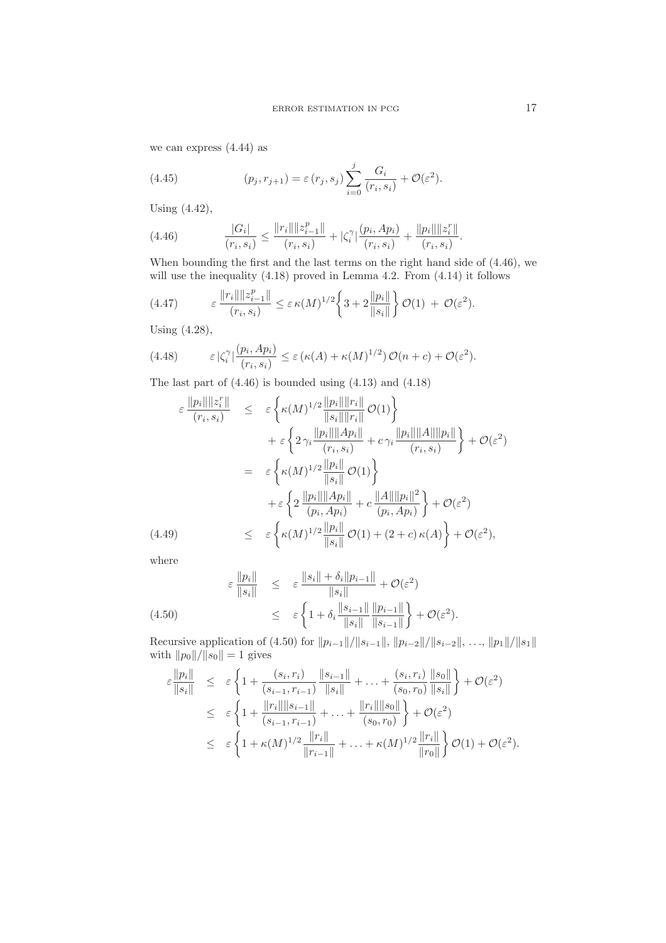we can express (4.44) as

(4.45) 
$$
(p_j, r_{j+1}) = \varepsilon(r_j, s_j) \sum_{i=0}^j \frac{G_i}{(r_i, s_i)} + \mathcal{O}(\varepsilon^2).
$$

Using (4.42),

(4.46) 
$$
\frac{|G_i|}{(r_i, s_i)} \le \frac{\|r_i\| \|z_{i-1}^p\|}{(r_i, s_i)} + |\zeta_i^{\gamma}| \frac{(p_i, Ap_i)}{(r_i, s_i)} + \frac{\|p_i\| \|z_i^r\|}{(r_i, s_i)}.
$$

When bounding the first and the last terms on the right hand side of (4.46), we will use the inequality  $(4.18)$  proved in Lemma 4.2. From  $(4.14)$  it follows

(4.47) 
$$
\varepsilon \frac{\|r_i\| \|z_{i-1}^p\|}{(r_i, s_i)} \leq \varepsilon \kappa(M)^{1/2} \left\{3 + 2\frac{\|p_i\|}{\|s_i\|}\right\} \mathcal{O}(1) + \mathcal{O}(\varepsilon^2).
$$

Using (4.28),

(4.48) 
$$
\varepsilon |\zeta_i^{\gamma}| \frac{(p_i, Ap_i)}{(r_i, s_i)} \leq \varepsilon (\kappa(A) + \kappa(M)^{1/2}) \mathcal{O}(n+c) + \mathcal{O}(\varepsilon^2).
$$

The last part of (4.46) is bounded using (4.13) and (4.18)

$$
\varepsilon \frac{\|p_i\| \|z_i^r\|}{(r_i, s_i)} \leq \varepsilon \left\{ \kappa(M)^{1/2} \frac{\|p_i\| \|r_i\|}{\|s_i\| \|r_i\|} \mathcal{O}(1) \right\} \n+ \varepsilon \left\{ 2 \gamma_i \frac{\|p_i\| \|Ap_i\|}{(r_i, s_i)} + c \gamma_i \frac{\|p_i\| \|A\| \|p_i\|}{(r_i, s_i)} \right\} + \mathcal{O}(\varepsilon^2) \n= \varepsilon \left\{ \kappa(M)^{1/2} \frac{\|p_i\|}{\|s_i\|} \mathcal{O}(1) \right\} \n+ \varepsilon \left\{ 2 \frac{\|p_i\| \|Ap_i\|}{(p_i, Ap_i)} + c \frac{\|A\| \|p_i\|^2}{(p_i, Ap_i)} \right\} + \mathcal{O}(\varepsilon^2) \n(4.49) \leq \varepsilon \left\{ \kappa(M)^{1/2} \frac{\|p_i\|}{\|s_i\|} \mathcal{O}(1) + (2 + c) \kappa(A) \right\} + \mathcal{O}(\varepsilon^2),
$$

where

(4.50)  

$$
\varepsilon \frac{\|p_i\|}{\|s_i\|} \leq \varepsilon \frac{\|s_i\| + \delta_i \|p_{i-1}\|}{\|s_i\|} + \mathcal{O}(\varepsilon^2)
$$

$$
\leq \varepsilon \left\{ 1 + \delta_i \frac{\|s_{i-1}\|}{\|s_i\|} \frac{\|p_{i-1}\|}{\|s_{i-1}\|} \right\} + \mathcal{O}(\varepsilon^2).
$$

Recursive application of (4.50) for  $||p_{i-1}||/||s_{i-1}||$ ,  $||p_{i-2}||/||s_{i-2}||$ , ...,  $||p_1||/||s_1||$ with  $||p_0||/||s_0|| = 1$  gives

$$
\varepsilon \frac{\|p_i\|}{\|s_i\|} \leq \varepsilon \left\{ 1 + \frac{(s_i, r_i)}{(s_{i-1}, r_{i-1})} \frac{\|s_{i-1}\|}{\|s_i\|} + \ldots + \frac{(s_i, r_i)}{(s_0, r_0)} \frac{\|s_0\|}{\|s_i\|} \right\} + \mathcal{O}(\varepsilon^2)
$$
\n
$$
\leq \varepsilon \left\{ 1 + \frac{\|r_i\| \|s_{i-1}\|}{(s_{i-1}, r_{i-1})} + \ldots + \frac{\|r_i\| \|s_0\|}{(s_0, r_0)} \right\} + \mathcal{O}(\varepsilon^2)
$$
\n
$$
\leq \varepsilon \left\{ 1 + \kappa (M)^{1/2} \frac{\|r_i\|}{\|r_{i-1}\|} + \ldots + \kappa (M)^{1/2} \frac{\|r_i\|}{\|r_0\|} \right\} \mathcal{O}(1) + \mathcal{O}(\varepsilon^2).
$$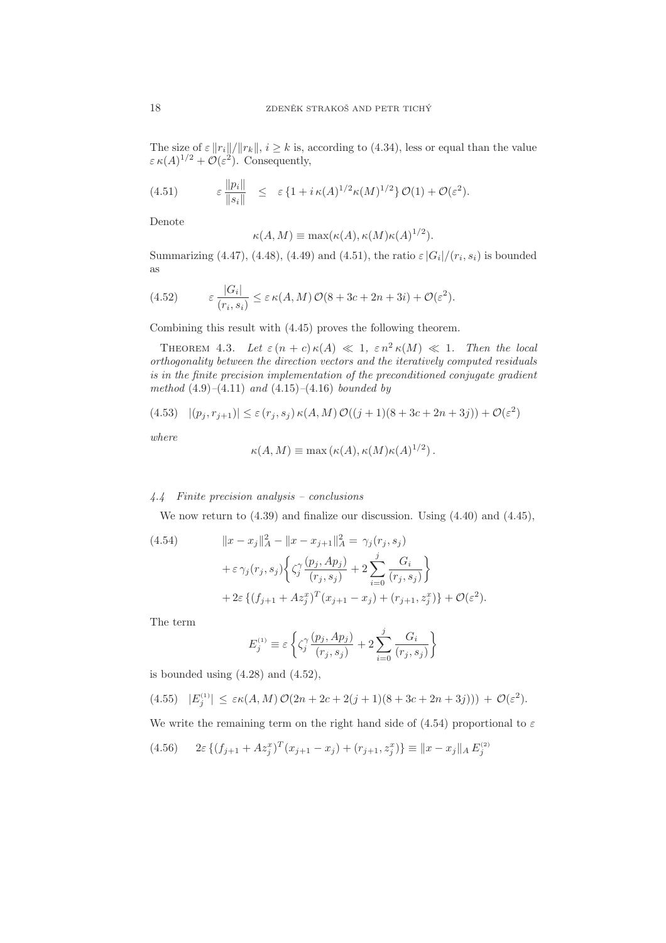The size of  $\varepsilon ||r_i||/||r_k||$ ,  $i \geq k$  is, according to (4.34), less or equal than the value  $\varepsilon \kappa(A)^{1/2} + \mathcal{O}(\varepsilon^2)$ . Consequently,

(4.51) 
$$
\varepsilon \frac{\|p_i\|}{\|s_i\|} \leq \varepsilon \{1 + i \kappa(A)^{1/2} \kappa(M)^{1/2}\} \mathcal{O}(1) + \mathcal{O}(\varepsilon^2).
$$

Denote

$$
\kappa(A, M) \equiv \max(\kappa(A), \kappa(M)\kappa(A)^{1/2}).
$$

Summarizing (4.47), (4.48), (4.49) and (4.51), the ratio  $\varepsilon |G_i|/(r_i, s_i)$  is bounded as

(4.52) 
$$
\varepsilon \frac{|G_i|}{(r_i, s_i)} \leq \varepsilon \kappa(A, M) \mathcal{O}(8 + 3c + 2n + 3i) + \mathcal{O}(\varepsilon^2).
$$

Combining this result with (4.45) proves the following theorem.

THEOREM 4.3. Let  $\varepsilon (n + c) \kappa (A) \ll 1$ ,  $\varepsilon n^2 \kappa (M) \ll 1$ . Then the local orthogonality between the direction vectors and the iteratively computed residuals is in the finite precision implementation of the preconditioned conjugate gradient method  $(4.9)$ – $(4.11)$  and  $(4.15)$ – $(4.16)$  bounded by

(4.53) 
$$
|(p_j, r_{j+1})| \le \varepsilon (r_j, s_j) \kappa(A, M) \mathcal{O}((j+1)(8+3c+2n+3j)) + \mathcal{O}(\varepsilon^2)
$$

where

$$
\kappa(A, M) \equiv \max(\kappa(A), \kappa(M)\kappa(A)^{1/2}).
$$

# 4.4 Finite precision analysis – conclusions

We now return to (4.39) and finalize our discussion. Using (4.40) and (4.45),

(4.54) 
$$
||x - x_j||_A^2 - ||x - x_{j+1}||_A^2 = \gamma_j(r_j, s_j) + \varepsilon \gamma_j(r_j, s_j) \Big\{ \zeta_j^{\gamma} \frac{(p_j, Ap_j)}{(r_j, s_j)} + 2 \sum_{i=0}^j \frac{G_i}{(r_j, s_j)} \Big\} + 2\varepsilon \{ (f_{j+1} + Az_j^x)^T (x_{j+1} - x_j) + (r_{j+1}, z_j^x) \} + \mathcal{O}(\varepsilon^2).
$$

The term

$$
E_j^{(1)} \equiv \varepsilon \left\{ \zeta_j^{\gamma} \frac{(p_j, Ap_j)}{(r_j, s_j)} + 2 \sum_{i=0}^j \frac{G_i}{(r_j, s_j)} \right\}
$$

is bounded using  $(4.28)$  and  $(4.52)$ ,

$$
(4.55) \quad |E_j^{(1)}| \le \varepsilon \kappa(A,M) \mathcal{O}(2n + 2c + 2(j+1)(8 + 3c + 2n + 3j))) + \mathcal{O}(\varepsilon^2).
$$

We write the remaining term on the right hand side of (4.54) proportional to  $\varepsilon$ 

$$
(4.56) \qquad 2\varepsilon \left\{ (f_{j+1} + Az_j^x)^T (x_{j+1} - x_j) + (r_{j+1}, z_j^x) \right\} \equiv \|x - x_j\|_A E_j^{(2)}
$$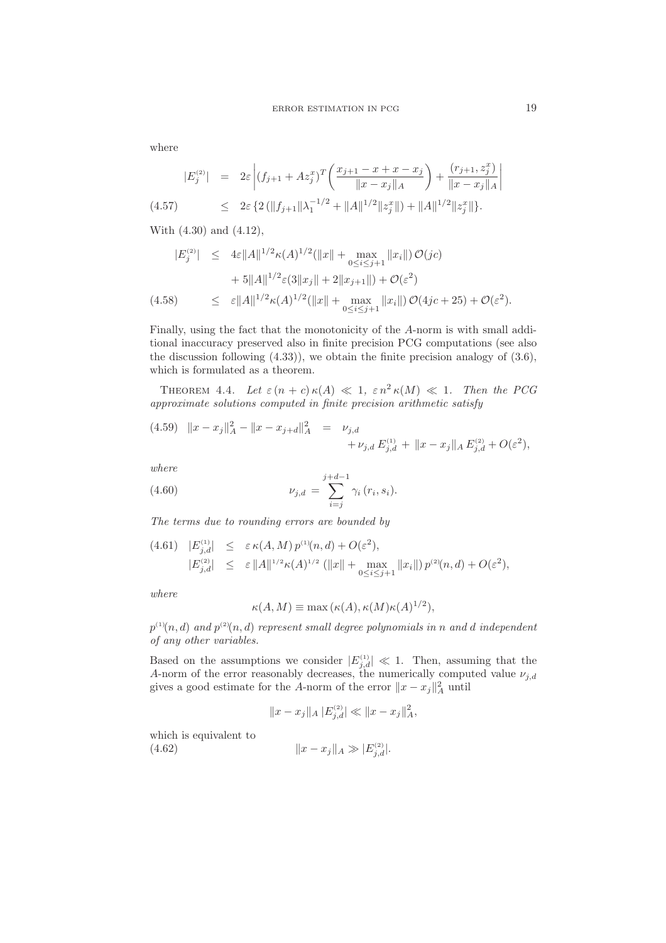where

$$
|E_j^{(2)}| = 2\varepsilon \left| (f_{j+1} + Az_j^x)^T \left( \frac{x_{j+1} - x + x - x_j}{\|x - x_j\|_A} \right) + \frac{(r_{j+1}, z_j^x)}{\|x - x_j\|_A} \right|
$$
  
(4.57) 
$$
\leq 2\varepsilon \left\{ 2 \left( \|f_{j+1}\| \lambda_1^{-1/2} + \|A\|^{1/2} \|z_j^x\| \right) + \|A\|^{1/2} \|z_j^x\| \right\}.
$$

With (4.30) and (4.12),

$$
|E_j^{(2)}| \leq 4\varepsilon ||A||^{1/2} \kappa (A)^{1/2} (||x|| + \max_{0 \leq i \leq j+1} ||x_i||) \mathcal{O}(jc)
$$
  
+ 5||A||^{1/2} \varepsilon (3||x\_j|| + 2||x\_{j+1}||) + \mathcal{O}(\varepsilon^2)  
(4.58) 
$$
\leq \varepsilon ||A||^{1/2} \kappa (A)^{1/2} (||x|| + \max_{0 \leq i \leq j+1} ||x_i||) \mathcal{O}(4jc + 25) + \mathcal{O}(\varepsilon^2).
$$

Finally, using the fact that the monotonicity of the A-norm is with small additional inaccuracy preserved also in finite precision PCG computations (see also the discussion following (4.33)), we obtain the finite precision analogy of (3.6), which is formulated as a theorem.

THEOREM 4.4. Let  $\varepsilon (n + c) \kappa (A) \ll 1$ ,  $\varepsilon n^2 \kappa (M) \ll 1$ . Then the PCG approximate solutions computed in finite precision arithmetic satisfy

(4.59) 
$$
||x - x_j||_A^2 - ||x - x_{j+d}||_A^2 = \nu_{j,d}
$$
  
  $+ \nu_{j,d} E_{j,d}^{(1)} + ||x - x_j||_A E_{j,d}^{(2)} + O(\varepsilon^2),$ 

where

(4.60) 
$$
\nu_{j,d} = \sum_{i=j}^{j+d-1} \gamma_i (r_i, s_i).
$$

The terms due to rounding errors are bounded by

$$
(4.61) \quad |E_{j,d}^{(1)}| \leq \varepsilon \kappa(A,M) \, p^{(1)}(n,d) + O(\varepsilon^2),
$$
  

$$
|E_{j,d}^{(2)}| \leq \varepsilon ||A||^{1/2} \kappa(A)^{1/2} (||x|| + \max_{0 \leq i \leq j+1} ||x_i||) \, p^{(2)}(n,d) + O(\varepsilon^2),
$$

where

$$
\kappa(A, M) \equiv \max(\kappa(A), \kappa(M)\kappa(A)^{1/2}),
$$

 $p^{_{(1)}}\!(n,d)$  and  $p^{_{(2)}}\!(n,d)$  represent small degree polynomials in  $n$  and  $d$  independent of any other variables.

Based on the assumptions we consider  $|E_{j,d}^{(1)}| \ll 1$ . Then, assuming that the A-norm of the error reasonably decreases, the numerically computed value  $\nu_{j,d}$ gives a good estimate for the A-norm of the error  $||x - x_j||_A^2$  until

$$
||x - x_j||_A \, |E_{j,d}^{(2)}| \ll ||x - x_j||_A^2,
$$

which is equivalent to

(4.62) 
$$
||x - x_j||_A \gg |E_{j,d}^{(2)}|.
$$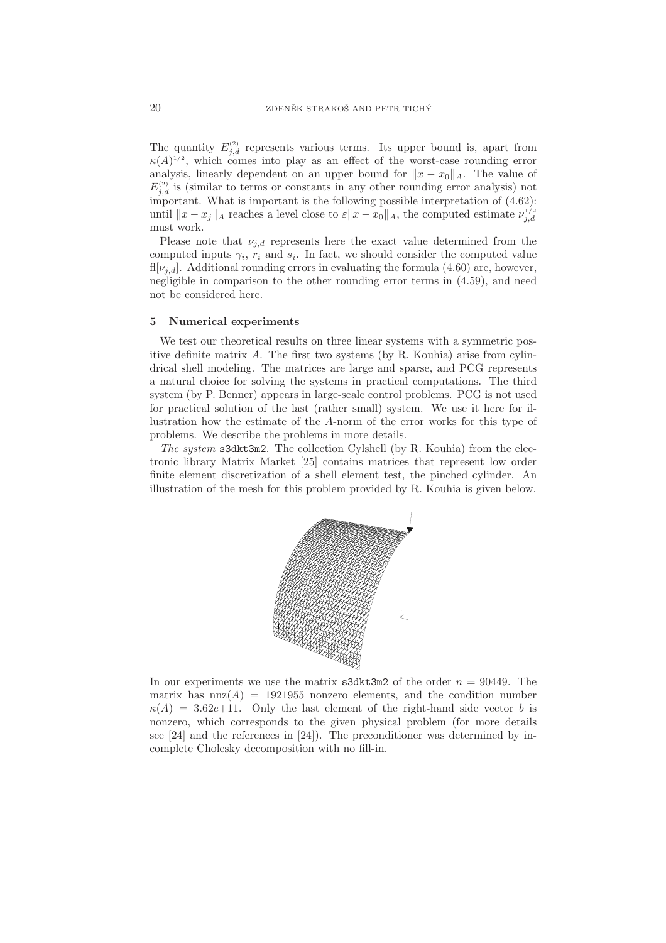The quantity  $E_{j,d}^{(2)}$  represents various terms. Its upper bound is, apart from  $\kappa(A)^{1/2}$ , which comes into play as an effect of the worst-case rounding error analysis, linearly dependent on an upper bound for  $||x - x_0||_A$ . The value of  $E_{j,d}^{(2)}$  is (similar to terms or constants in any other rounding error analysis) not important. What is important is the following possible interpretation of (4.62): until  $||x - x_j||_A$  reaches a level close to  $\varepsilon ||x - x_0||_A$ , the computed estimate  $\nu_{j,d}^{1/2}$ must work.

Please note that  $\nu_{i,d}$  represents here the exact value determined from the computed inputs  $\gamma_i$ ,  $r_i$  and  $s_i$ . In fact, we should consider the computed value fl[ $\nu_{i,d}$ ]. Additional rounding errors in evaluating the formula (4.60) are, however, negligible in comparison to the other rounding error terms in (4.59), and need not be considered here.

### 5 Numerical experiments

We test our theoretical results on three linear systems with a symmetric positive definite matrix  $A$ . The first two systems (by R. Kouhia) arise from cylindrical shell modeling. The matrices are large and sparse, and PCG represents a natural choice for solving the systems in practical computations. The third system (by P. Benner) appears in large-scale control problems. PCG is not used for practical solution of the last (rather small) system. We use it here for illustration how the estimate of the A-norm of the error works for this type of problems. We describe the problems in more details.

The system s3dkt3m2. The collection Cylshell (by R. Kouhia) from the electronic library Matrix Market [25] contains matrices that represent low order finite element discretization of a shell element test, the pinched cylinder. An illustration of the mesh for this problem provided by R. Kouhia is given below.



In our experiments we use the matrix  $\text{sdkt3m2}$  of the order  $n = 90449$ . The matrix has  $nnz(A) = 1921955$  nonzero elements, and the condition number  $\kappa(A) = 3.62e+11$ . Only the last element of the right-hand side vector b is nonzero, which corresponds to the given physical problem (for more details see [24] and the references in [24]). The preconditioner was determined by incomplete Cholesky decomposition with no fill-in.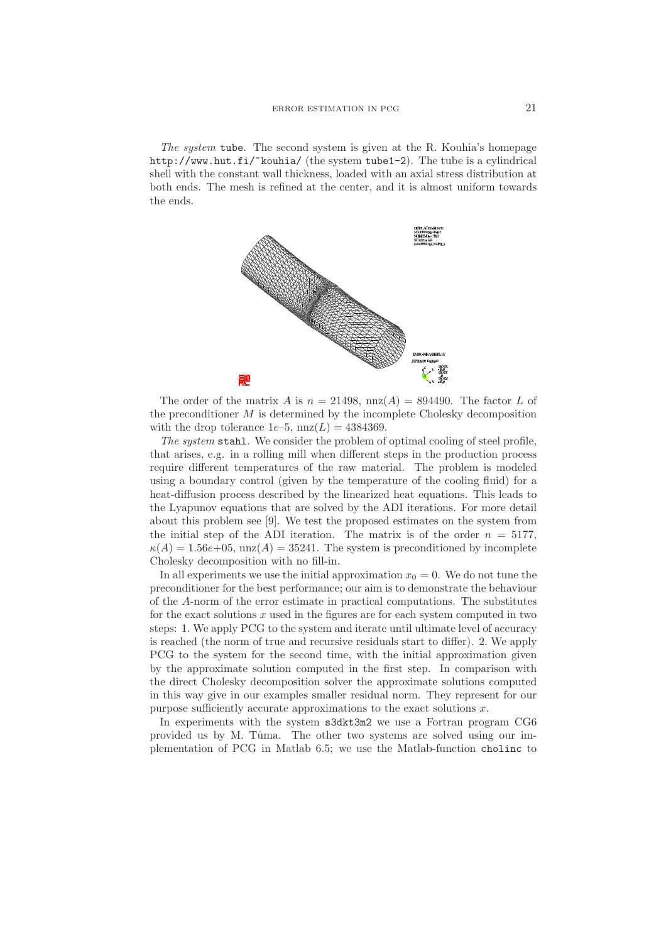The system tube. The second system is given at the R. Kouhia's homepage http://www.hut.fi/~kouhia/ (the system tube1-2). The tube is a cylindrical shell with the constant wall thickness, loaded with an axial stress distribution at both ends. The mesh is refined at the center, and it is almost uniform towards the ends.



The order of the matrix A is  $n = 21498$ ,  $nnz(A) = 894490$ . The factor L of the preconditioner  $M$  is determined by the incomplete Cholesky decomposition with the drop tolerance  $1e-5$ ,  $nnz(L) = 4384369$ .

The system stahl. We consider the problem of optimal cooling of steel profile, that arises, e.g. in a rolling mill when different steps in the production process require different temperatures of the raw material. The problem is modeled using a boundary control (given by the temperature of the cooling fluid) for a heat-diffusion process described by the linearized heat equations. This leads to the Lyapunov equations that are solved by the ADI iterations. For more detail about this problem see [9]. We test the proposed estimates on the system from the initial step of the ADI iteration. The matrix is of the order  $n = 5177$ ,  $\kappa(A) = 1.56e+05$ , nnz $(A) = 35241$ . The system is preconditioned by incomplete Cholesky decomposition with no fill-in.

In all experiments we use the initial approximation  $x_0 = 0$ . We do not tune the preconditioner for the best performance; our aim is to demonstrate the behaviour of the A-norm of the error estimate in practical computations. The substitutes for the exact solutions  $x$  used in the figures are for each system computed in two steps: 1. We apply PCG to the system and iterate until ultimate level of accuracy is reached (the norm of true and recursive residuals start to differ). 2. We apply PCG to the system for the second time, with the initial approximation given by the approximate solution computed in the first step. In comparison with the direct Cholesky decomposition solver the approximate solutions computed in this way give in our examples smaller residual norm. They represent for our purpose sufficiently accurate approximations to the exact solutions  $x$ .

In experiments with the system s3dkt3m2 we use a Fortran program CG6 provided us by M. Tuma. The other two systems are solved using our implementation of PCG in Matlab 6.5; we use the Matlab-function cholinc to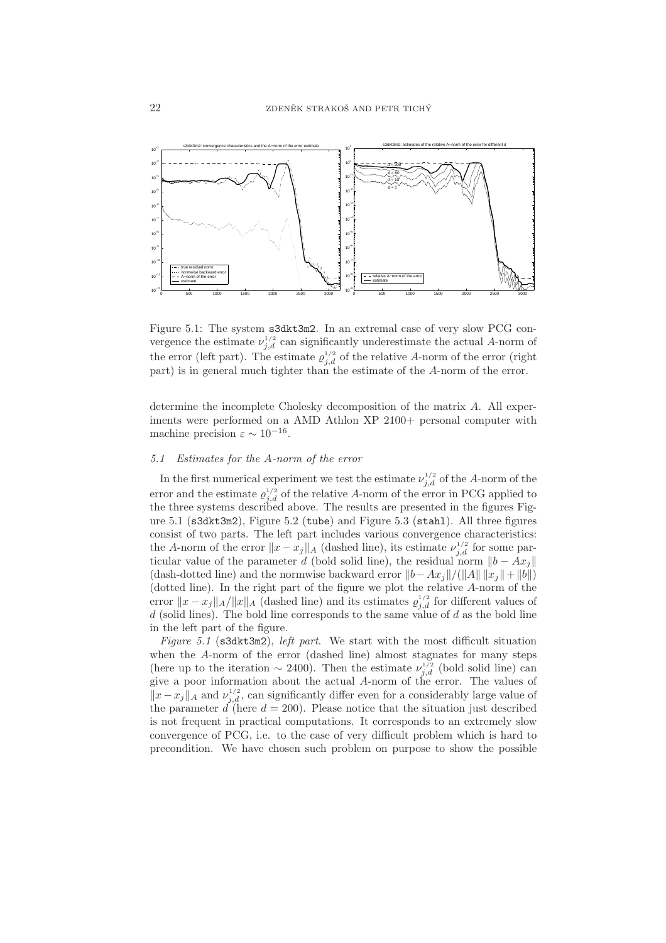

Figure 5.1: The system s3dkt3m2. In an extremal case of very slow PCG convergence the estimate  $\nu_{j,d}^{1/2}$  can significantly underestimate the actual A-norm of the error (left part). The estimate  $\varrho_{j,d}^{1/2}$  of the relative A-norm of the error (right part) is in general much tighter than the estimate of the A-norm of the error.

determine the incomplete Cholesky decomposition of the matrix A. All experiments were performed on a AMD Athlon XP 2100+ personal computer with machine precision  $\varepsilon \sim 10^{-16}$ .

# 5.1 Estimates for the A-norm of the error

In the first numerical experiment we test the estimate  $\nu_{j,d}^{1/2}$  of the A-norm of the error and the estimate  $\varrho_{j,d}^{1/2}$  of the relative A-norm of the error in PCG applied to the three systems described above. The results are presented in the figures Figure 5.1 (s3dkt3m2), Figure 5.2 (tube) and Figure 5.3 (stahl). All three figures consist of two parts. The left part includes various convergence characteristics: the A-norm of the error  $||x - x_j||_A$  (dashed line), its estimate  $\nu_{j,d}^{1/2}$  for some particular value of the parameter d (bold solid line), the residual norm  $||b - Ax_j||$ (dash-dotted line) and the normwise backward error  $||b-Ax_j||/||A|| ||x_j||+||b||$ ) (dotted line). In the right part of the figure we plot the relative A-norm of the error  $||x - x_j||_A/||x||_A$  (dashed line) and its estimates  $\rho_{j,d}^{1/2}$  for different values of  $d$  (solid lines). The bold line corresponds to the same value of  $d$  as the bold line in the left part of the figure.

Figure 5.1 ( $s3dkt3m2$ ), *left part*. We start with the most difficult situation when the A-norm of the error (dashed line) almost stagnates for many steps (here up to the iteration  $\sim 2400$ ). Then the estimate  $\nu_{j,d}^{1/2}$  (bold solid line) can give a poor information about the actual A-norm of the error. The values of  $||x - x_j||_A$  and  $\nu_{j,d}^{1/2}$ , can significantly differ even for a considerably large value of the parameter  $d$  (here  $d = 200$ ). Please notice that the situation just described is not frequent in practical computations. It corresponds to an extremely slow convergence of PCG, i.e. to the case of very difficult problem which is hard to precondition. We have chosen such problem on purpose to show the possible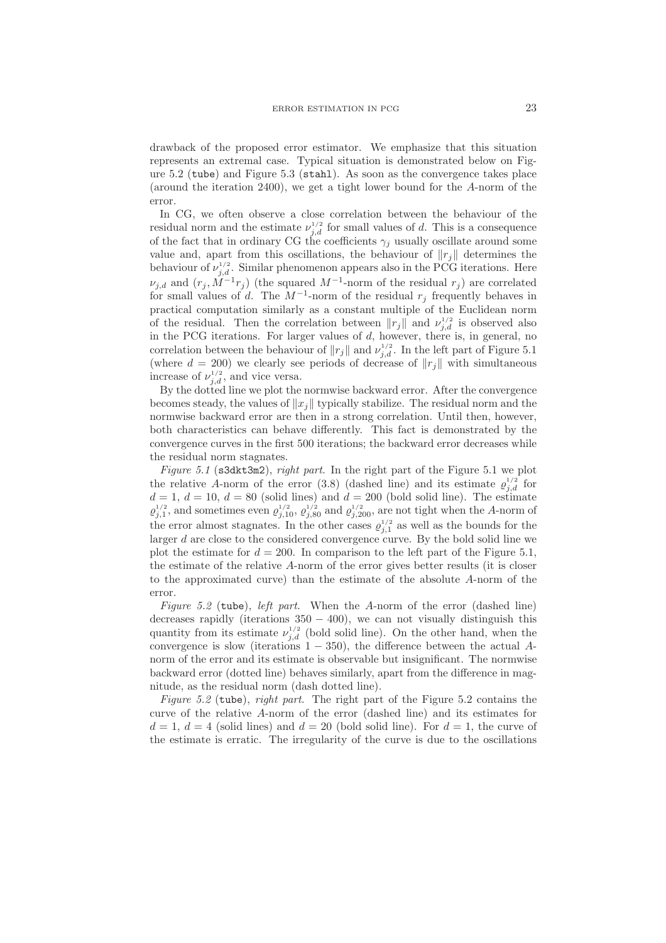drawback of the proposed error estimator. We emphasize that this situation represents an extremal case. Typical situation is demonstrated below on Figure 5.2 (tube) and Figure 5.3 (stahl). As soon as the convergence takes place (around the iteration 2400), we get a tight lower bound for the A-norm of the error.

In CG, we often observe a close correlation between the behaviour of the residual norm and the estimate  $\nu_{j,d}^{1/2}$  for small values of d. This is a consequence of the fact that in ordinary CG the coefficients  $\gamma_j$  usually oscillate around some value and, apart from this oscillations, the behaviour of  $||r_i||$  determines the behaviour of  $\nu_{j,d}^{1/2}$ . Similar phenomenon appears also in the PCG iterations. Here  $\nu_{j,d}$  and  $(r_j, M^{-1}r_j)$  (the squared  $M^{-1}$ -norm of the residual  $r_j$ ) are correlated for small values of d. The  $M^{-1}$ -norm of the residual  $r_j$  frequently behaves in practical computation similarly as a constant multiple of the Euclidean norm of the residual. Then the correlation between  $||r_j||$  and  $\nu_{j,d}^{1/2}$  is observed also in the PCG iterations. For larger values of d, however, there is, in general, no correlation between the behaviour of  $||r_j||$  and  $\nu_{j,d}^{1/2}$ . In the left part of Figure 5.1 (where  $d = 200$ ) we clearly see periods of decrease of  $||r_j||$  with simultaneous increase of  $\nu_{j,d}^{1/2}$ , and vice versa.

By the dotted line we plot the normwise backward error. After the convergence becomes steady, the values of  $||x_j||$  typically stabilize. The residual norm and the normwise backward error are then in a strong correlation. Until then, however, both characteristics can behave differently. This fact is demonstrated by the convergence curves in the first 500 iterations; the backward error decreases while the residual norm stagnates.

Figure 5.1 (s3dkt3m2), right part. In the right part of the Figure 5.1 we plot the relative A-norm of the error (3.8) (dashed line) and its estimate  $\rho_{j,d}^{1/2}$  for  $d = 1, d = 10, d = 80$  (solid lines) and  $d = 200$  (bold solid line). The estimate  $\varrho_{j,1}^{1/2}$ , and sometimes even  $\varrho_{j,10}^{1/2}$ ,  $\varrho_{j,80}^{1/2}$  and  $\varrho_{j,200}^{1/2}$ , are not tight when the A-norm of the error almost stagnates. In the other cases  $\rho_{j,1}^{1/2}$  as well as the bounds for the larger  $d$  are close to the considered convergence curve. By the bold solid line we plot the estimate for  $d = 200$ . In comparison to the left part of the Figure 5.1, the estimate of the relative A-norm of the error gives better results (it is closer to the approximated curve) than the estimate of the absolute A-norm of the error.

Figure 5.2 (tube), left part. When the A-norm of the error (dashed line) decreases rapidly (iterations  $350 - 400$ ), we can not visually distinguish this quantity from its estimate  $\nu_{j,d}^{1/2}$  (bold solid line). On the other hand, when the convergence is slow (iterations  $1 - 350$ ), the difference between the actual Anorm of the error and its estimate is observable but insignificant. The normwise backward error (dotted line) behaves similarly, apart from the difference in magnitude, as the residual norm (dash dotted line).

Figure 5.2 (tube), right part. The right part of the Figure 5.2 contains the curve of the relative A-norm of the error (dashed line) and its estimates for  $d = 1, d = 4$  (solid lines) and  $d = 20$  (bold solid line). For  $d = 1$ , the curve of the estimate is erratic. The irregularity of the curve is due to the oscillations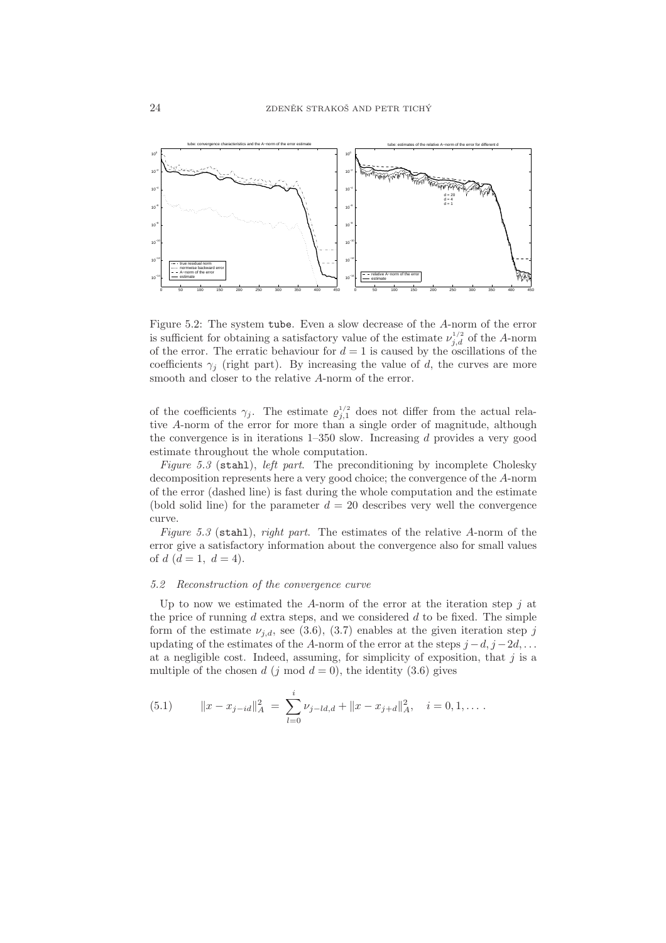

Figure 5.2: The system tube. Even a slow decrease of the A-norm of the error is sufficient for obtaining a satisfactory value of the estimate  $\nu_{j,d}^{1/2}$  of the A-norm of the error. The erratic behaviour for  $d = 1$  is caused by the oscillations of the coefficients  $\gamma_j$  (right part). By increasing the value of d, the curves are more smooth and closer to the relative A-norm of the error.

of the coefficients  $\gamma_j$ . The estimate  $\varrho_{j,1}^{1/2}$  does not differ from the actual relative A-norm of the error for more than a single order of magnitude, although the convergence is in iterations  $1-350$  slow. Increasing d provides a very good estimate throughout the whole computation.

Figure 5.3 (stahl), left part. The preconditioning by incomplete Cholesky decomposition represents here a very good choice; the convergence of the A-norm of the error (dashed line) is fast during the whole computation and the estimate (bold solid line) for the parameter  $d = 20$  describes very well the convergence curve.

Figure 5.3 (stahl), right part. The estimates of the relative A-norm of the error give a satisfactory information about the convergence also for small values of  $d (d = 1, d = 4)$ .

#### 5.2 Reconstruction of the convergence curve

Up to now we estimated the A-norm of the error at the iteration step  $j$  at the price of running  $d$  extra steps, and we considered  $d$  to be fixed. The simple form of the estimate  $\nu_{i,d}$ , see (3.6), (3.7) enables at the given iteration step j updating of the estimates of the A-norm of the error at the steps  $j - d$ ,  $j - 2d$ , ... at a negligible cost. Indeed, assuming, for simplicity of exposition, that  $j$  is a multiple of the chosen d (j mod  $d = 0$ ), the identity (3.6) gives

(5.1) 
$$
||x - x_{j-id}||_A^2 = \sum_{l=0}^i \nu_{j-ld,d} + ||x - x_{j+d}||_A^2, \quad i = 0, 1, \dots
$$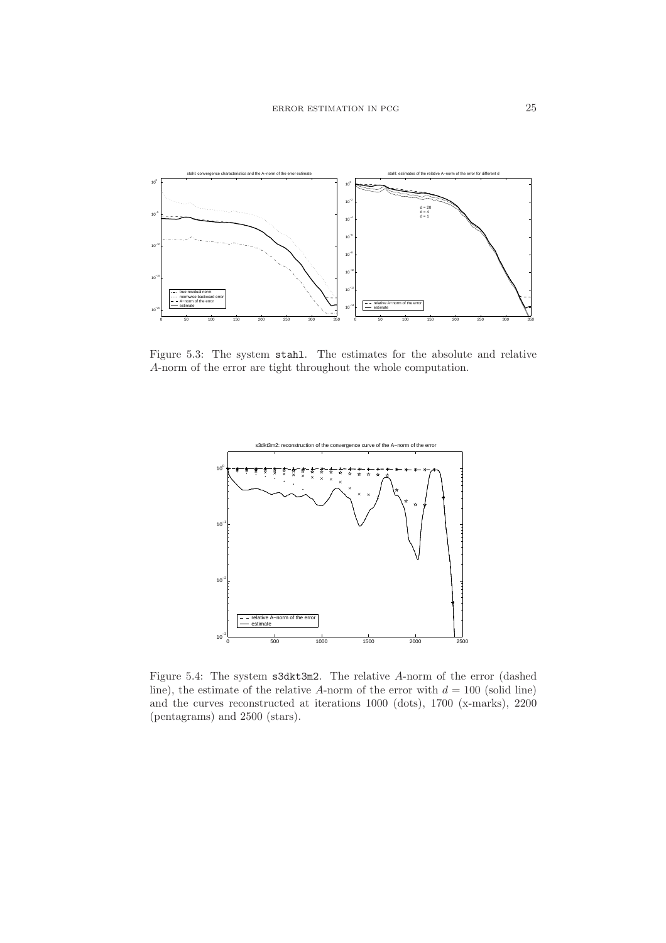

Figure 5.3: The system stahl. The estimates for the absolute and relative A-norm of the error are tight throughout the whole computation.



Figure 5.4: The system s3dkt3m2. The relative A-norm of the error (dashed line), the estimate of the relative A-norm of the error with  $d = 100$  (solid line) and the curves reconstructed at iterations 1000 (dots), 1700 (x-marks), 2200 (pentagrams) and 2500 (stars).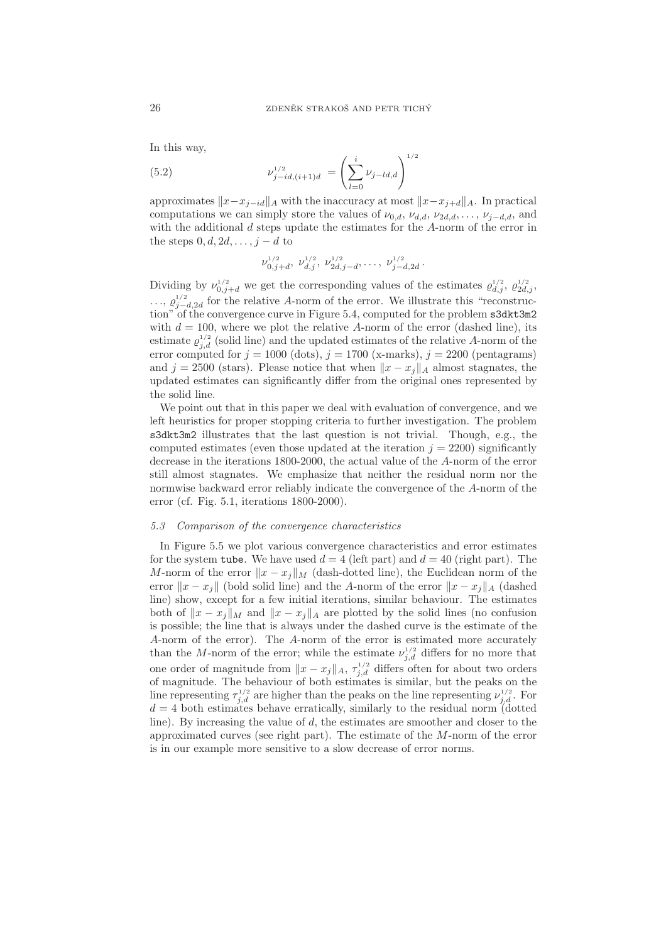In this way,

(5.2) 
$$
\nu_{j-id,(i+1)d}^{1/2} = \left(\sum_{l=0}^{i} \nu_{j-ld,d}\right)^{1/2}
$$

approximates  $||x-x_{i-id}||_A$  with the inaccuracy at most  $||x-x_{i+d}||_A$ . In practical computations we can simply store the values of  $\nu_{0,d}$ ,  $\nu_{d,d}$ ,  $\nu_{2d,d}$ , ...,  $\nu_{j-d,d}$ , and with the additional d steps update the estimates for the A-norm of the error in the steps  $0, d, 2d, \ldots, i - d$  to

$$
\nu_{0,j+d}^{1/2}, \nu_{d,j}^{1/2}, \nu_{2d,j-d}^{1/2}, \ldots, \nu_{j-d,2d}^{1/2}.
$$

Dividing by  $\nu_{0,j+d}^{1/2}$  we get the corresponding values of the estimates  $\varrho_{d,j}^{1/2}$ ,  $\varrho_{2d,j}^{1/2}$ ,  $\ldots$ ,  $\varrho_{j-d,2d}^{1/2}$  for the relative A-norm of the error. We illustrate this "reconstruction" of the convergence curve in Figure 5.4, computed for the problem s3dkt3m2 with  $d = 100$ , where we plot the relative A-norm of the error (dashed line), its estimate  $\varrho_{j,d}^{1/2}$  (solid line) and the updated estimates of the relative A-norm of the error computed for  $j = 1000$  (dots),  $j = 1700$  (x-marks),  $j = 2200$  (pentagrams) and  $j = 2500$  (stars). Please notice that when  $||x - x_j||_A$  almost stagnates, the updated estimates can significantly differ from the original ones represented by the solid line.

We point out that in this paper we deal with evaluation of convergence, and we left heuristics for proper stopping criteria to further investigation. The problem s3dkt3m2 illustrates that the last question is not trivial. Though, e.g., the computed estimates (even those updated at the iteration  $j = 2200$ ) significantly decrease in the iterations 1800-2000, the actual value of the A-norm of the error still almost stagnates. We emphasize that neither the residual norm nor the normwise backward error reliably indicate the convergence of the A-norm of the error (cf. Fig. 5.1, iterations 1800-2000).

#### 5.3 Comparison of the convergence characteristics

In Figure 5.5 we plot various convergence characteristics and error estimates for the system tube. We have used  $d = 4$  (left part) and  $d = 40$  (right part). The M-norm of the error  $||x - x_j||_M$  (dash-dotted line), the Euclidean norm of the error  $||x - x_j||$  (bold solid line) and the A-norm of the error  $||x - x_j||_A$  (dashed line) show, except for a few initial iterations, similar behaviour. The estimates both of  $||x - x_j||_M$  and  $||x - x_j||_A$  are plotted by the solid lines (no confusion is possible; the line that is always under the dashed curve is the estimate of the A-norm of the error). The A-norm of the error is estimated more accurately than the M-norm of the error; while the estimate  $\nu_{j,d}^{1/2}$  differs for no more that one order of magnitude from  $||x - x_j||_A$ ,  $\tau_{j,d}^{1/2}$  differs often for about two orders of magnitude. The behaviour of both estimates is similar, but the peaks on the line representing  $\tau_{j,d}^{1/2}$  are higher than the peaks on the line representing  $\nu_{j,d}^{1/2}$ . For  $d = 4$  both estimates behave erratically, similarly to the residual norm (dotted line). By increasing the value of d, the estimates are smoother and closer to the approximated curves (see right part). The estimate of the M-norm of the error is in our example more sensitive to a slow decrease of error norms.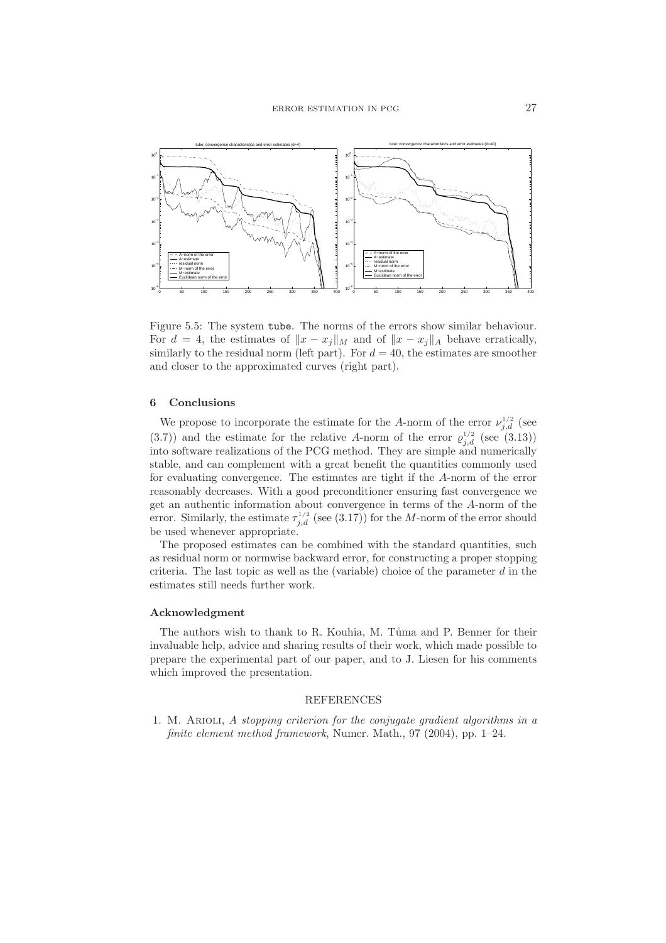

Figure 5.5: The system tube. The norms of the errors show similar behaviour. For  $d = 4$ , the estimates of  $||x - x_j||_M$  and of  $||x - x_j||_A$  behave erratically, similarly to the residual norm (left part). For  $d = 40$ , the estimates are smoother and closer to the approximated curves (right part).

### 6 Conclusions

We propose to incorporate the estimate for the A-norm of the error  $\nu_{j,d}^{1/2}$  (see (3.7)) and the estimate for the relative A-norm of the error  $\rho_{j,d}^{1/2}$  (see (3.13)) into software realizations of the PCG method. They are simple and numerically stable, and can complement with a great benefit the quantities commonly used for evaluating convergence. The estimates are tight if the A-norm of the error reasonably decreases. With a good preconditioner ensuring fast convergence we get an authentic information about convergence in terms of the A-norm of the error. Similarly, the estimate  $\tau_{j,d}^{1/2}$  (see (3.17)) for the M-norm of the error should be used whenever appropriate.

The proposed estimates can be combined with the standard quantities, such as residual norm or normwise backward error, for constructing a proper stopping criteria. The last topic as well as the (variable) choice of the parameter  $d$  in the estimates still needs further work.

### Acknowledgment

The authors wish to thank to R. Kouhia, M. Tuma and P. Benner for their invaluable help, advice and sharing results of their work, which made possible to prepare the experimental part of our paper, and to J. Liesen for his comments which improved the presentation.

#### REFERENCES

1. M. Arioli, A stopping criterion for the conjugate gradient algorithms in a finite element method framework, Numer. Math., 97 (2004), pp. 1–24.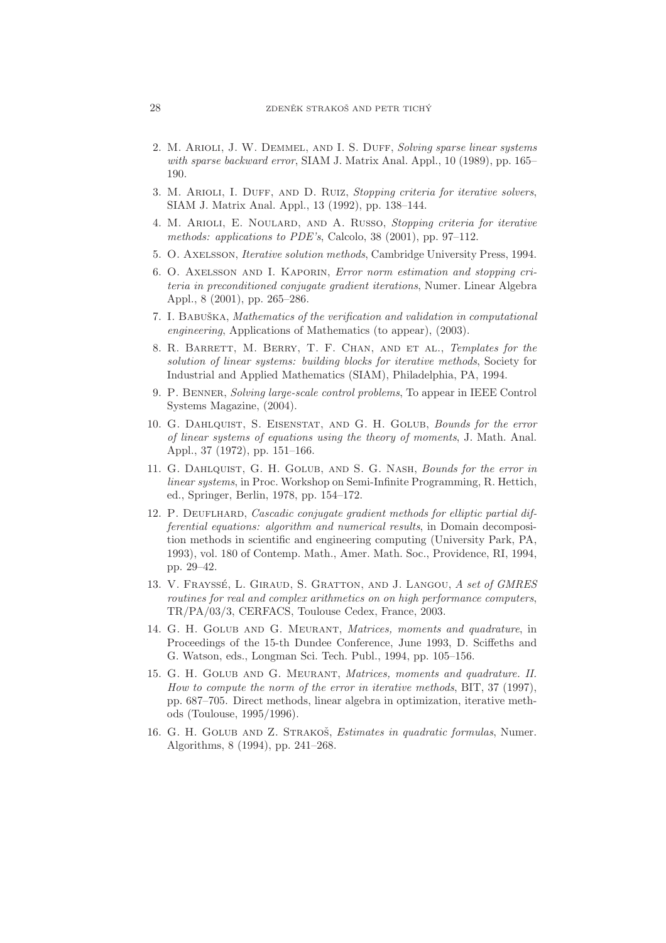- 2. M. ARIOLI, J. W. DEMMEL, AND I. S. DUFF, Solving sparse linear systems with sparse backward error, SIAM J. Matrix Anal. Appl., 10 (1989), pp. 165– 190.
- 3. M. Arioli, I. Duff, and D. Ruiz, Stopping criteria for iterative solvers, SIAM J. Matrix Anal. Appl., 13 (1992), pp. 138–144.
- 4. M. Arioli, E. Noulard, and A. Russo, Stopping criteria for iterative methods: applications to PDE's, Calcolo, 38 (2001), pp. 97–112.
- 5. O. Axelsson, Iterative solution methods, Cambridge University Press, 1994.
- 6. O. Axelsson and I. Kaporin, Error norm estimation and stopping criteria in preconditioned conjugate gradient iterations, Numer. Linear Algebra Appl., 8 (2001), pp. 265–286.
- 7. I. BABUŠKA, Mathematics of the verification and validation in computational engineering, Applications of Mathematics (to appear), (2003).
- 8. R. BARRETT, M. BERRY, T. F. CHAN, AND ET AL., Templates for the solution of linear systems: building blocks for iterative methods, Society for Industrial and Applied Mathematics (SIAM), Philadelphia, PA, 1994.
- 9. P. Benner, Solving large-scale control problems, To appear in IEEE Control Systems Magazine, (2004).
- 10. G. Dahlquist, S. Eisenstat, and G. H. Golub, Bounds for the error of linear systems of equations using the theory of moments, J. Math. Anal. Appl., 37 (1972), pp. 151–166.
- 11. G. DAHLQUIST, G. H. GOLUB, AND S. G. NASH, Bounds for the error in linear systems, in Proc. Workshop on Semi-Infinite Programming, R. Hettich, ed., Springer, Berlin, 1978, pp. 154–172.
- 12. P. DEUFLHARD, Cascadic conjugate gradient methods for elliptic partial differential equations: algorithm and numerical results, in Domain decomposition methods in scientific and engineering computing (University Park, PA, 1993), vol. 180 of Contemp. Math., Amer. Math. Soc., Providence, RI, 1994, pp. 29–42.
- 13. V. FRAYSSÉ, L. GIRAUD, S. GRATTON, AND J. LANGOU, A set of GMRES routines for real and complex arithmetics on on high performance computers, TR/PA/03/3, CERFACS, Toulouse Cedex, France, 2003.
- 14. G. H. GOLUB AND G. MEURANT, Matrices, moments and quadrature, in Proceedings of the 15-th Dundee Conference, June 1993, D. Sciffeths and G. Watson, eds., Longman Sci. Tech. Publ., 1994, pp. 105–156.
- 15. G. H. Golub and G. Meurant, Matrices, moments and quadrature. II. How to compute the norm of the error in iterative methods, BIT, 37 (1997), pp. 687–705. Direct methods, linear algebra in optimization, iterative methods (Toulouse, 1995/1996).
- 16. G. H. GOLUB AND Z. STRAKOŠ, Estimates in quadratic formulas, Numer. Algorithms, 8 (1994), pp. 241–268.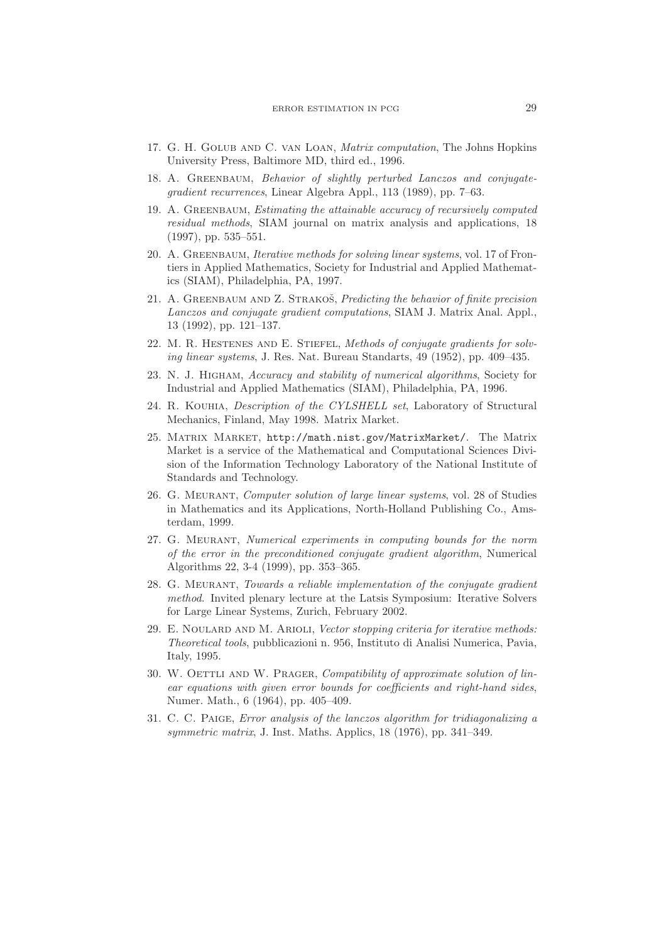- 17. G. H. Golub and C. van Loan, Matrix computation, The Johns Hopkins University Press, Baltimore MD, third ed., 1996.
- 18. A. GREENBAUM, Behavior of slightly perturbed Lanczos and conjugategradient recurrences, Linear Algebra Appl., 113 (1989), pp. 7–63.
- 19. A. Greenbaum, Estimating the attainable accuracy of recursively computed residual methods, SIAM journal on matrix analysis and applications, 18 (1997), pp. 535–551.
- 20. A. Greenbaum, Iterative methods for solving linear systems, vol. 17 of Frontiers in Applied Mathematics, Society for Industrial and Applied Mathematics (SIAM), Philadelphia, PA, 1997.
- 21. A. GREENBAUM AND Z. STRAKOŠ, Predicting the behavior of finite precision Lanczos and conjugate gradient computations, SIAM J. Matrix Anal. Appl., 13 (1992), pp. 121–137.
- 22. M. R. HESTENES AND E. STIEFEL, Methods of conjugate gradients for solving linear systems, J. Res. Nat. Bureau Standarts, 49 (1952), pp. 409–435.
- 23. N. J. Higham, Accuracy and stability of numerical algorithms, Society for Industrial and Applied Mathematics (SIAM), Philadelphia, PA, 1996.
- 24. R. Kouhia, Description of the CYLSHELL set, Laboratory of Structural Mechanics, Finland, May 1998. Matrix Market.
- 25. Matrix Market, http://math.nist.gov/MatrixMarket/. The Matrix Market is a service of the Mathematical and Computational Sciences Division of the Information Technology Laboratory of the National Institute of Standards and Technology.
- 26. G. Meurant, Computer solution of large linear systems, vol. 28 of Studies in Mathematics and its Applications, North-Holland Publishing Co., Amsterdam, 1999.
- 27. G. Meurant, Numerical experiments in computing bounds for the norm of the error in the preconditioned conjugate gradient algorithm, Numerical Algorithms 22, 3-4 (1999), pp. 353–365.
- 28. G. Meurant, Towards a reliable implementation of the conjugate gradient method. Invited plenary lecture at the Latsis Symposium: Iterative Solvers for Large Linear Systems, Zurich, February 2002.
- 29. E. NOULARD AND M. ARIOLI, Vector stopping criteria for iterative methods: Theoretical tools, pubblicazioni n. 956, Instituto di Analisi Numerica, Pavia, Italy, 1995.
- 30. W. OETTLI AND W. PRAGER, Compatibility of approximate solution of linear equations with given error bounds for coefficients and right-hand sides, Numer. Math., 6 (1964), pp. 405–409.
- 31. C. C. Paige, Error analysis of the lanczos algorithm for tridiagonalizing a symmetric matrix, J. Inst. Maths. Applics, 18 (1976), pp. 341–349.